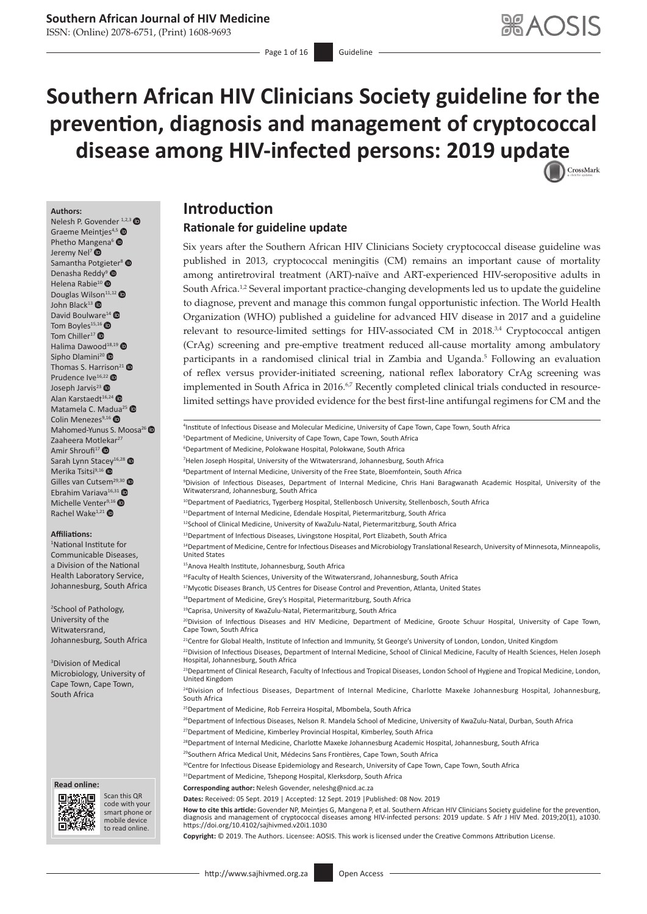# **Southern African Journal of HIV Medicine**

ISSN: (Online) 2078-6751, (Print) 1608-9693

 $-$  Page 1 of 16 Guideline

# **Southern African HIV Clinicians Society guideline for the prevention, diagnosis and management of cryptococcal disease among HIV-infected persons: 2019 upd[ate](http://crossmark.crossref.org/dialog/?doi=10.4102/sajhivmed.v20i1.1030=pdf&date_stamp=2019-11-08)**

<span id="page-0-6"></span><span id="page-0-3"></span>CrossMark

#### **Authors:**

Nelesh P. Govender<sup>1,2,3</sup> Graeme Meintjes<sup>4,5</sup> Phetho Mangena<sup>6</sup> Jeremy Nel<sup>7</sup> ® Samantha Potgi[eter](https://orcid.org/0000-0002-1199-021X)<sup>[8](https://orcid.org/0000-0002-7408-9787)</sup> <sup>®</sup> Denasha Reddy<sup>9</sup> Helena Rabie<sup>1[0](https://orcid.org/0000-0001-6336-2963)</sup> ® Douglas Wilson<sup>11,1[2](https://orcid.org/0000-0002-5129-1624)</sup> <sup>O</sup> John Black<sup>1[3](https://orcid.org/0000-0002-7845-4972)</sup> <sup>O</sup> David Boulwar[e](https://orcid.org/0000-0002-5676-8081)<sup>1[4](https://orcid.org/0000-0002-4715-0060)</sup> Tom Boyles<sup>15,16</sup> Tom Chiller<sup>17</sup> $\bullet$ Halima Dawood<sup>18,19</sup> Sipho Dlamini<sup>2[0](https://orcid.org/0000-0002-5185-7624)</sup> Thomas S. Harrison<sup>2[1](https://orcid.org/0000-0003-3619-4348)</sup>  $\bullet$ Prudence Ive<sup>16,[2](https://orcid.org/0000-0002-4853-0997)2</sup> Joseph Jarvis<sup>23</sup> Alan Karstaedt<sup>16,2[4](https://orcid.org/0000-0003-0502-870X)</sup> Matamela C. Ma[dua](https://orcid.org/0000-0003-3838-5359)<sup>2[5](https://orcid.org/0000-0002-9774-2144)</sup> <sup>O</sup> Colin Menezes<sup>9,16</sup> Mahomed-Yunus S. Moosa<sup>2[6](https://orcid.org/0000-0001-6191-4023)</sup> Zaaheera Mo[tleka](https://orcid.org/0000-0002-7850-2970)r<sup>27</sup> Amir Shroufi<sup>17</sup> ® Sarah Lynn Sta[cey](https://orcid.org/0000-0002-1417-1324)<sup>16,2[8](https://orcid.org/0000-0003-0042-8288
)</sup> Merika Tsitsi<sup>9,16</sup> Gilles van Cutsem<sup>29,30</sup> Ebrahim Variava $^{16,31}$   $\bullet$ Michelle Venter<sup>9,1[6](https://orcid.org/0000-0002-4073-8873)</sup>  $Rachel Wake<sup>1,21</sup>$  $Rachel Wake<sup>1,21</sup>$  $Rachel Wake<sup>1,21</sup>$ 

#### **Affiliations:**

1 National Institute for Communicable Diseases, a Division of the National Health Laboratory Service, Johannesburg, South Africa

2 School of Pathology, University of the Witwatersrand, Johannesburg, South Africa

3 Division of Medical Microbiology, University of Cape Town, Cape Town, South Africa

#### **Read online: Read online:**



Scan this QR code with your Scan this QR<br>code with your<br>smart phone or<br>mobile device mobile device to read online. to read online.

# **Introduction Rationale for guideline update**

<span id="page-0-2"></span><span id="page-0-1"></span><span id="page-0-0"></span>Six years after the Southern African HIV Clinicians Society cryptococcal disease guideline was published in 2013, cryptococcal meningitis (CM) remains an important cause of mortality among antiretroviral treatment (ART)-naïve and ART-experienced HIV-seropositive adults in South Africa.<sup>[1](#page-14-0),[2](#page-14-1)</sup> Several important practice-changing developments led us to update the guideline to diagnose, prevent and manage this common fungal opportunistic infection. The World Health Organization (WHO) published a guideline for advanced HIV disease in 2017 and a guideline relevant to resource-limited settings for HIV-associated CM in  $2018^{34}$  $2018^{34}$  $2018^{34}$  Cryptococcal antigen (CrAg) screening and pre-emptive treatment reduced all-cause mortality among ambulatory participants in a randomised clinical trial in Zambia and Uganda.[5](#page-14-4) Following an evaluation of reflex versus provider-initiated screening, national reflex laboratory CrAg screening was implemented in South Africa in  $2016$ .<sup>[6,](#page-14-5)[7](#page-14-6)</sup> Recently completed clinical trials conducted in resourcelimited settings have provided evidence for the best first-line antifungal regimens for CM and the

**How to cite this article:** Govender NP, Meintjes G, Mangena P, et al. Southern African HIV Clinicians Society guideline for the prevention, diagnosis and management of cryptococcal diseases among HIV-infected persons: 2019 update. S Afr J HIV Med. 2019;20(1), a1030. <https://doi.org/10.4102/sajhivmed.v20i1.1030>

**Copyright:** © 2019. The Authors. Licensee: AOSIS. This work is licensed under the Creative Commons Attribution License.

<span id="page-0-5"></span><span id="page-0-4"></span><sup>4</sup> Institute of Infectious Disease and Molecular Medicine, University of Cape Town, Cape Town, South Africa 5 Department of Medicine, University of Cape Town, Cape Town, South Africa 6 Department of Medicine, Polokwane Hospital, Polokwane, South Africa 7 Helen Joseph Hospital, University of the Witwatersrand, Johannesburg, South Africa 8 Department of Internal Medicine, University of the Free State, Bloemfontein, South Africa 9 Division of Infectious Diseases, Department of Internal Medicine, Chris Hani Baragwanath Academic Hospital, University of the Witwatersrand, Johannesburg, South Africa <sup>10</sup>Department of Paediatrics, Tygerberg Hospital, Stellenbosch University, Stellenbosch, South Africa <sup>11</sup>Department of Internal Medicine, Edendale Hospital, Pietermaritzburg, South Africa 12School of Clinical Medicine, University of KwaZulu-Natal, Pietermaritzburg, South Africa <sup>13</sup>Department of Infectious Diseases, Livingstone Hospital, Port Elizabeth, South Africa 14Department of Medicine, Centre for Infectious Diseases and Microbiology Translational Research, University of Minnesota, Minneapolis, United States 15Anova Health Institute, Johannesburg, South Africa <sup>16</sup>Faculty of Health Sciences, University of the Witwatersrand, Johannesburg, South Africa <sup>17</sup>Mycotic Diseases Branch, US Centres for Disease Control and Prevention, Atlanta, United States <sup>18</sup>Department of Medicine, Grey's Hospital, Pietermaritzburg, South Africa 19Caprisa, University of KwaZulu-Natal, Pietermaritzburg, South Africa 20Division of Infectious Diseases and HIV Medicine, Department of Medicine, Groote Schuur Hospital, University of Cape Town, Cape Town, South Africa <sup>21</sup>Centre for Global Health, Institute of Infection and Immunity, St George's University of London, London, United Kingdom <sup>22</sup>Division of Infectious Diseases, Department of Internal Medicine, School of Clinical Medicine, Faculty of Health Sciences, Helen Joseph Hospital, Johannesburg, South Africa <sup>23</sup>Department of Clinical Research, Faculty of Infectious and Tropical Diseases, London School of Hygiene and Tropical Medicine, London, United Kingdom <sup>24</sup>Division of Infectious Diseases, Department of Internal Medicine, Charlotte Maxeke Johannesburg Hospital, Johannesburg, South Africa <sup>25</sup>Department of Medicine, Rob Ferreira Hospital, Mbombela, South Africa <sup>26</sup>Department of Infectious Diseases, Nelson R. Mandela School of Medicine, University of KwaZulu-Natal, Durban, South Africa <sup>27</sup>Department of Medicine, Kimberley Provincial Hospital, Kimberley, South Africa 28Department of Internal Medicine, Charlotte Maxeke Johannesburg Academic Hospital, Johannesburg, South Africa <sup>29</sup>Southern Africa Medical Unit, Médecins Sans Frontières, Cape Town, South Africa <sup>30</sup>Centre for Infectious Disease Epidemiology and Research, University of Cape Town, Cape Town, South Africa <sup>31</sup>Department of Medicine, Tshepong Hospital, Klerksdorp, South Africa **Corresponding author:** Nelesh Govender, [neleshg@nicd.ac.za](mailto:neleshg@nicd.ac.za) **Dates:** Received: 05 Sept. 2019 | Accepted: 12 Sept. 2019 |Published: 08 Nov. 2019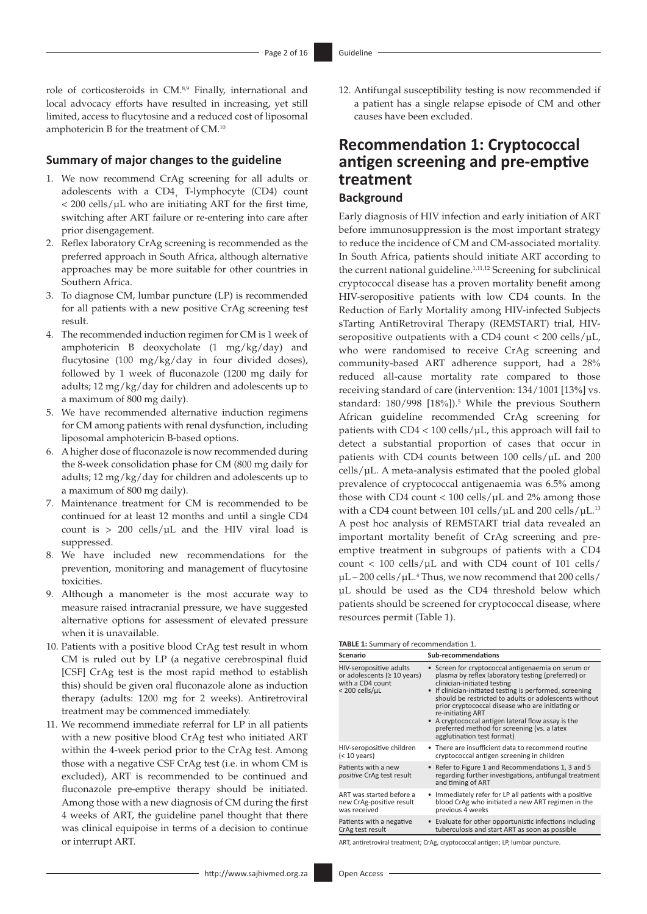<span id="page-1-0"></span>role of corticosteroids in CM.<sup>[8](#page-14-7),[9](#page-14-8)</sup> Finally, international and local advocacy efforts have resulted in increasing, yet still limited, access to flucytosine and a reduced cost of liposomal amphotericin B for the treatment of CM[.10](#page-14-9)

### <span id="page-1-2"></span>**Summary of major changes to the guideline**

- 1. We now recommend CrAg screening for all adults or adolescents with a CD4<sub>.</sub> T-lymphocyte (CD4) count  $<$  200 cells/ $\mu$ L who are initiating ART for the first time, switching after ART failure or re-entering into care after prior disengagement.
- 2. Reflex laboratory CrAg screening is recommended as the preferred approach in South Africa, although alternative approaches may be more suitable for other countries in Southern Africa.
- 3. To diagnose CM, lumbar puncture (LP) is recommended for all patients with a new positive CrAg screening test result.
- 4. The recommended induction regimen for CM is 1 week of amphotericin B deoxycholate (1 mg/kg/day) and flucytosine (100 mg/kg/day in four divided doses), followed by 1 week of fluconazole (1200 mg daily for adults; 12 mg/kg/day for children and adolescents up to a maximum of 800 mg daily).
- 5. We have recommended alternative induction regimens for CM among patients with renal dysfunction, including liposomal amphotericin B-based options.
- 6. A higher dose of fluconazole is now recommended during the 8-week consolidation phase for CM (800 mg daily for adults; 12 mg/kg/day for children and adolescents up to a maximum of 800 mg daily).
- 7. Maintenance treatment for CM is recommended to be continued for at least 12 months and until a single CD4 count is  $> 200$  cells/ $\mu$ L and the HIV viral load is suppressed.
- 8. We have included new recommendations for the prevention, monitoring and management of flucytosine toxicities.
- 9. Although a manometer is the most accurate way to measure raised intracranial pressure, we have suggested alternative options for assessment of elevated pressure when it is unavailable.
- 10. Patients with a positive blood CrAg test result in whom CM is ruled out by LP (a negative cerebrospinal fluid [CSF] CrAg test is the most rapid method to establish this) should be given oral fluconazole alone as induction therapy (adults: 1200 mg for 2 weeks). Antiretroviral treatment may be commenced immediately.
- 11. We recommend immediate referral for LP in all patients with a new positive blood CrAg test who initiated ART within the 4-week period prior to the CrAg test. Among those with a negative CSF CrAg test (i.e. in whom CM is excluded), ART is recommended to be continued and fluconazole pre-emptive therapy should be initiated. Among those with a new diagnosis of CM during the first 4 weeks of ART, the guideline panel thought that there was clinical equipoise in terms of a decision to continue or interrupt ART.

<span id="page-1-1"></span>12. Antifungal susceptibility testing is now recommended if a patient has a single relapse episode of CM and other causes have been excluded.

# **Recommendation 1: Cryptococcal antigen screening and pre-emptive treatment**

# **Background**

<span id="page-1-3"></span>Early diagnosis of HIV infection and early initiation of ART before immunosuppression is the most important strategy to reduce the incidence of CM and CM-associated mortality. In South Africa, patients should initiate ART according to the current national guideline.<sup>1[,11](#page-14-10),[12](#page-14-11)</sup> Screening for subclinical cryptococcal disease has a proven mortality benefit among HIV-seropositive patients with low CD4 counts. In the Reduction of Early Mortality among HIV-infected Subjects sTarting AntiRetroviral Therapy (REMSTART) trial, HIVseropositive outpatients with a CD4 count < 200 cells/µL, who were randomised to receive CrAg screening and community-based ART adherence support, had a 28% reduced all-cause mortality rate compared to those receiving standard of care (intervention: 134/1001 [13%] vs. standard: 180/998 [18%]).<sup>5</sup> While the previous Southern African guideline recommended CrAg screening for patients with  $CD4 < 100$  cells/ $\mu$ L, this approach will fail to detect a substantial proportion of cases that occur in patients with CD4 counts between 100 cells/µL and 200 cells/µL. A meta-analysis estimated that the pooled global prevalence of cryptococcal antigenaemia was 6.5% among those with CD4 count  $< 100$  cells/ $\mu$ L and 2% among those with a CD4 count between 101 cells/µL and 200 cells/µL.<sup>13</sup> A post hoc analysis of REMSTART trial data revealed an important mortality benefit of CrAg screening and preemptive treatment in subgroups of patients with a CD4 count <  $100$  cells/ $\mu$ L and with CD4 count of 101 cells/  $\mu$ L – 200 cells/ $\mu$ L.<sup>4</sup> Thus, we now recommend that 200 cells/ µL should be used as the CD4 threshold below which patients should be screened for cryptococcal disease, where resources permit (Table 1).

<span id="page-1-4"></span>**TABLE 1:** Summary of recommendation 1.

| <b>Scenario</b>                                                                                    | Sub-recommendations                                                                                                                                                                                                                                                                                                                                                                                                                                                      |
|----------------------------------------------------------------------------------------------------|--------------------------------------------------------------------------------------------------------------------------------------------------------------------------------------------------------------------------------------------------------------------------------------------------------------------------------------------------------------------------------------------------------------------------------------------------------------------------|
| HIV-seropositive adults<br>or adolescents ( $\geq 10$ years)<br>with a CD4 count<br>< 200 cells/µL | • Screen for cryptococcal antigenaemia on serum or<br>plasma by reflex laboratory testing (preferred) or<br>clinician-initiated testing<br>• If clinician-initiated testing is performed, screening<br>should be restricted to adults or adolescents without<br>prior cryptococcal disease who are initiating or<br>re-initiating ART<br>• A cryptococcal antigen lateral flow assay is the<br>preferred method for screening (vs. a latex<br>agglutination test format) |
| HIV-seropositive children<br>$(10 years)$                                                          | • There are insufficient data to recommend routine<br>cryptococcal antigen screening in children                                                                                                                                                                                                                                                                                                                                                                         |
| Patients with a new<br><i>positive</i> CrAg test result                                            | • Refer to Figure 1 and Recommendations 1, 3 and 5<br>regarding further investigations, antifungal treatment<br>and timing of ART                                                                                                                                                                                                                                                                                                                                        |
| ART was started before a<br>new CrAg-positive result<br>was received                               | • Immediately refer for LP all patients with a positive<br>blood CrAg who initiated a new ART regimen in the<br>previous 4 weeks                                                                                                                                                                                                                                                                                                                                         |
| Patients with a negative<br>CrAg test result                                                       | • Evaluate for other opportunistic infections including<br>tuberculosis and start ART as soon as possible                                                                                                                                                                                                                                                                                                                                                                |
|                                                                                                    |                                                                                                                                                                                                                                                                                                                                                                                                                                                                          |

ART, antiretroviral treatment; CrAg, cryptococcal antigen; LP, lumbar puncture.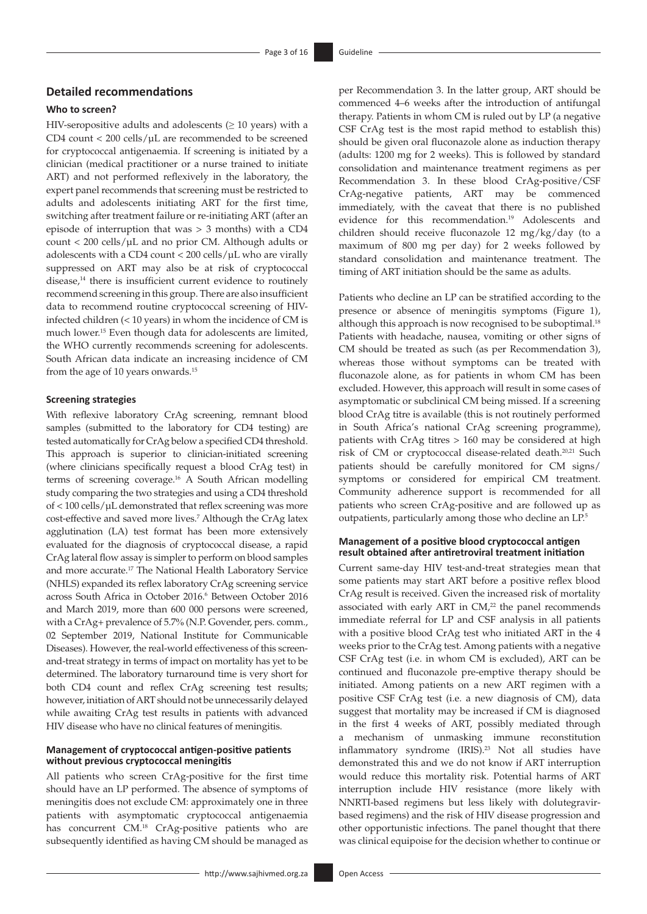# **Detailed recommendations**

### **Who to screen?**

HIV-seropositive adults and adolescents ( $\geq 10$  years) with a CD4 count < 200 cells/µL are recommended to be screened for cryptococcal antigenaemia. If screening is initiated by a clinician (medical practitioner or a nurse trained to initiate ART) and not performed reflexively in the laboratory, the expert panel recommends that screening must be restricted to adults and adolescents initiating ART for the first time, switching after treatment failure or re-initiating ART (after an episode of interruption that was > 3 months) with a CD4 count < 200 cells/µL and no prior CM. Although adults or adolescents with a CD4 count < 200 cells/µL who are virally suppressed on ART may also be at risk of cryptococcal disease,<sup>14</sup> there is insufficient current evidence to routinely recommend screening in this group. There are also insufficient data to recommend routine cryptococcal screening of HIVinfected children (< 10 years) in whom the incidence of CM is much lower[.15](#page-14-14) Even though data for adolescents are limited, the WHO currently recommends screening for adolescents. South African data indicate an increasing incidence of CM from the age of 10 years onwards.<sup>15</sup>

### <span id="page-2-1"></span><span id="page-2-0"></span>**Screening strategies**

<span id="page-2-3"></span><span id="page-2-2"></span>With reflexive laboratory CrAg screening, remnant blood samples (submitted to the laboratory for CD4 testing) are tested automatically for CrAg below a specified CD4 threshold. This approach is superior to clinician-initiated screening (where clinicians specifically request a blood CrAg test) in terms of screening coverage[.16](#page-14-15) A South African modelling study comparing the two strategies and using a CD4 threshold of < 100 cells/µL demonstrated that reflex screening was more cost-effective and saved more lives[.7](#page-14-6) Although the CrAg latex agglutination (LA) test format has been more extensively evaluated for the diagnosis of cryptococcal disease, a rapid CrAg lateral flow assay is simpler to perform on blood samples and more accurate.[17](#page-14-16) The National Health Laboratory Service (NHLS) expanded its reflex laboratory CrAg screening service across South Africa in October 2016.<sup>6</sup> Between October 2016 and March 2019, more than 600 000 persons were screened, with a CrAg+ prevalence of 5.7% (N.P. Govender, pers. comm., 02 September 2019, National Institute for Communicable Diseases). However, the real-world effectiveness of this screenand-treat strategy in terms of impact on mortality has yet to be determined. The laboratory turnaround time is very short for both CD4 count and reflex CrAg screening test results; however, initiation of ART should not be unnecessarily delayed while awaiting CrAg test results in patients with advanced HIV disease who have no clinical features of meningitis.

#### **Management of cryptococcal antigen-positive patients without previous cryptococcal meningitis**

<span id="page-2-4"></span>All patients who screen CrAg-positive for the first time should have an LP performed. The absence of symptoms of meningitis does not exclude CM: approximately one in three patients with asymptomatic cryptococcal antigenaemia has concurrent CM.<sup>[18](#page-14-17)</sup> CrAg-positive patients who are subsequently identified as having CM should be managed as

per Recommendation 3. In the latter group, ART should be commenced 4–6 weeks after the introduction of antifungal therapy. Patients in whom CM is ruled out by LP (a negative CSF CrAg test is the most rapid method to establish this) should be given oral fluconazole alone as induction therapy (adults: 1200 mg for 2 weeks). This is followed by standard consolidation and maintenance treatment regimens as per Recommendation 3. In these blood CrAg-positive/CSF CrAg-negative patients, ART may be commenced immediately, with the caveat that there is no published evidence for this recommendation. [19](#page-14-18) Adolescents and children should receive fluconazole 12 mg/kg/day (to a maximum of 800 mg per day) for 2 weeks followed by standard consolidation and maintenance treatment. The timing of ART initiation should be the same as adults.

<span id="page-2-5"></span>Patients who decline an LP can be stratified according to the presence or absence of meningitis symptoms (Figure 1), although this approach is now recognised to be suboptimal.<sup>[18](#page-14-17)</sup> Patients with headache, nausea, vomiting or other signs of CM should be treated as such (as per Recommendation 3), whereas those without symptoms can be treated with fluconazole alone, as for patients in whom CM has been excluded. However, this approach will result in some cases of asymptomatic or subclinical CM being missed. If a screening blood CrAg titre is available (this is not routinely performed in South Africa's national CrAg screening programme), patients with CrAg titres > 160 may be considered at high risk of CM or cryptococcal disease-related death.<sup>20,[21](#page-14-20)</sup> Such patients should be carefully monitored for CM signs/ symptoms or considered for empirical CM treatment. Community adherence support is recommended for all patients who screen CrAg-positive and are followed up as outpatients, particularly among those who decline an LP.<sup>5</sup>

### <span id="page-2-7"></span><span id="page-2-6"></span>**Management of a positive blood cryptococcal antigen result obtained after antiretroviral treatment initiation**

<span id="page-2-9"></span><span id="page-2-8"></span>Current same-day HIV test-and-treat strategies mean that some patients may start ART before a positive reflex blood CrAg result is received. Given the increased risk of mortality associated with early ART in  $CM<sub>7</sub><sup>22</sup>$  the panel recommends immediate referral for LP and CSF analysis in all patients with a positive blood CrAg test who initiated ART in the 4 weeks prior to the CrAg test. Among patients with a negative CSF CrAg test (i.e. in whom CM is excluded), ART can be continued and fluconazole pre-emptive therapy should be initiated. Among patients on a new ART regimen with a positive CSF CrAg test (i.e. a new diagnosis of CM), data suggest that mortality may be increased if CM is diagnosed in the first 4 weeks of ART, possibly mediated through a mechanism of unmasking immune reconstitution inflammatory syndrome (IRIS).<sup>23</sup> Not all studies have demonstrated this and we do not know if ART interruption would reduce this mortality risk. Potential harms of ART interruption include HIV resistance (more likely with NNRTI-based regimens but less likely with dolutegravirbased regimens) and the risk of HIV disease progression and other opportunistic infections. The panel thought that there was clinical equipoise for the decision whether to continue or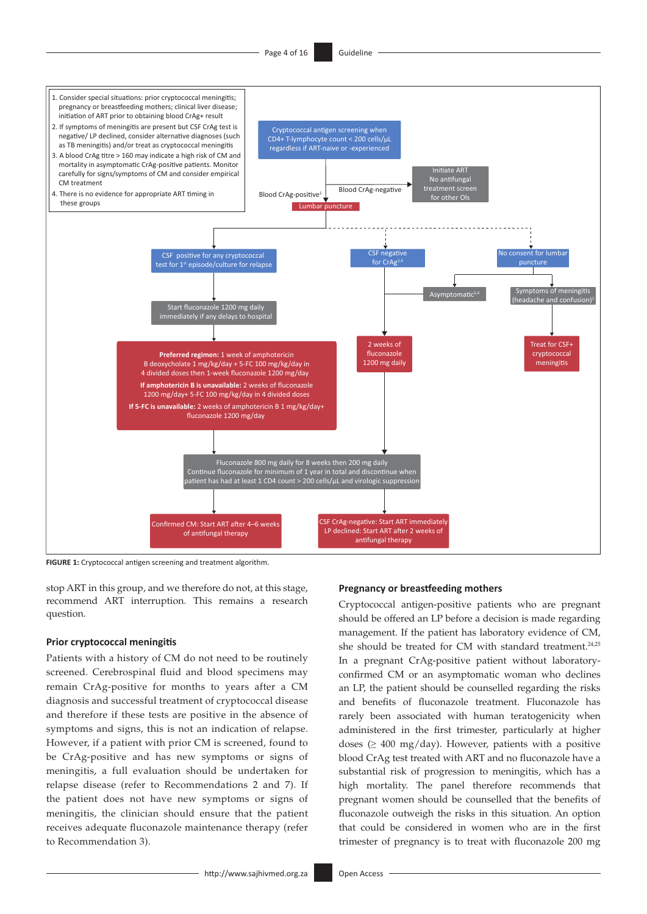Page 4 of 16 Guideline



**FIGURE 1:** Cryptococcal antigen screening and treatment algorithm.

stop ART in this group, and we therefore do not, at this stage, recommend ART interruption. This remains a research question.

#### **Prior cryptococcal meningitis**

Patients with a history of CM do not need to be routinely screened. Cerebrospinal fluid and blood specimens may remain CrAg-positive for months to years after a CM diagnosis and successful treatment of cryptococcal disease and therefore if these tests are positive in the absence of symptoms and signs, this is not an indication of relapse. However, if a patient with prior CM is screened, found to be CrAg-positive and has new symptoms or signs of meningitis, a full evaluation should be undertaken for relapse disease (refer to Recommendations 2 and 7). If the patient does not have new symptoms or signs of meningitis, the clinician should ensure that the patient receives adequate fluconazole maintenance therapy (refer to Recommendation 3).

#### **Pregnancy or breastfeeding mothers**

<span id="page-3-1"></span><span id="page-3-0"></span>Cryptococcal antigen-positive patients who are pregnant should be offered an LP before a decision is made regarding management. If the patient has laboratory evidence of CM, she should be treated for CM with standard treatment.<sup>[24](#page-14-23),[25](#page-14-24)</sup> In a pregnant CrAg-positive patient without laboratoryconfirmed CM or an asymptomatic woman who declines an LP, the patient should be counselled regarding the risks and benefits of fluconazole treatment. Fluconazole has rarely been associated with human teratogenicity when administered in the first trimester, particularly at higher doses ( $\geq 400 \text{ mg/day}$ ). However, patients with a positive blood CrAg test treated with ART and no fluconazole have a substantial risk of progression to meningitis, which has a high mortality. The panel therefore recommends that pregnant women should be counselled that the benefits of fluconazole outweigh the risks in this situation. An option that could be considered in women who are in the first trimester of pregnancy is to treat with fluconazole 200 mg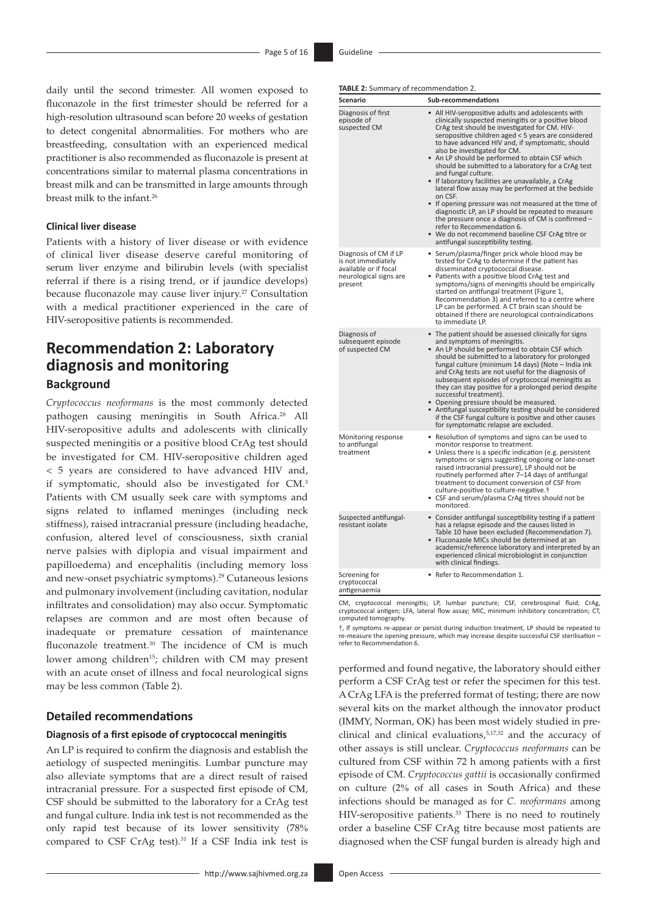present

daily until the second trimester. All women exposed to fluconazole in the first trimester should be referred for a high-resolution ultrasound scan before 20 weeks of gestation to detect congenital abnormalities. For mothers who are breastfeeding, consultation with an experienced medical practitioner is also recommended as fluconazole is present at concentrations similar to maternal plasma concentrations in breast milk and can be transmitted in large amounts through breast milk to the infant.<sup>[26](#page-14-25)</sup>

### <span id="page-4-0"></span>**Clinical liver disease**

<span id="page-4-1"></span>Patients with a history of liver disease or with evidence of clinical liver disease deserve careful monitoring of serum liver enzyme and bilirubin levels (with specialist referral if there is a rising trend, or if jaundice develops) because fluconazole may cause liver injury.<sup>27</sup> Consultation with a medical practitioner experienced in the care of HIV-seropositive patients is recommended.

# **Recommendation 2: Laboratory diagnosis and monitoring Background**

<span id="page-4-2"></span>*Cryptococcus neoformans* is the most commonly detected pathogen causing meningitis in South Africa.<sup>[28](#page-15-1)</sup> All HIV-seropositive adults and adolescents with clinically suspected meningitis or a positive blood CrAg test should be investigated for CM. HIV-seropositive children aged < 5 years are considered to have advanced HIV and, if symptomatic, should also be investigated for CM.[3](#page-14-2) Patients with CM usually seek care with symptoms and signs related to inflamed meninges (including neck stiffness), raised intracranial pressure (including headache, confusion, altered level of consciousness, sixth cranial nerve palsies with diplopia and visual impairment and papilloedema) and encephalitis (including memory loss and new-onset psychiatric symptoms)[.29](#page-15-2) Cutaneous lesions and pulmonary involvement (including cavitation, nodular infiltrates and consolidation) may also occur. Symptomatic relapses are common and are most often because of inadequate or premature cessation of maintenance fluconazole treatment.<sup>30</sup> The incidence of CM is much lower among children<sup>15</sup>; children with CM may present with an acute onset of illness and focal neurological signs may be less common (Table 2).

# <span id="page-4-4"></span><span id="page-4-3"></span>**Detailed recommendations**

#### **Diagnosis of a first episode of cryptococcal meningitis**

<span id="page-4-5"></span>An LP is required to confirm the diagnosis and establish the aetiology of suspected meningitis. Lumbar puncture may also alleviate symptoms that are a direct result of raised intracranial pressure. For a suspected first episode of CM, CSF should be submitted to the laboratory for a CrAg test and fungal culture. India ink test is not recommended as the only rapid test because of its lower sensitivity (78% compared to CSF CrAg test).<sup>31</sup> If a CSF India ink test is

|  | TABLE 2: Summary of recommendation 2. |
|--|---------------------------------------|
|  |                                       |

| Scenario                                                                                                  | Sub-recommendations                                                                                                                                                                                                                                                                                                                                                                                                                                                                                                                                                                                                                                                                                                                                                                                                                                        |
|-----------------------------------------------------------------------------------------------------------|------------------------------------------------------------------------------------------------------------------------------------------------------------------------------------------------------------------------------------------------------------------------------------------------------------------------------------------------------------------------------------------------------------------------------------------------------------------------------------------------------------------------------------------------------------------------------------------------------------------------------------------------------------------------------------------------------------------------------------------------------------------------------------------------------------------------------------------------------------|
| Diagnosis of first<br>episode of<br>suspected CM                                                          | • All HIV-seropositive adults and adolescents with<br>clinically suspected meningitis or a positive blood<br>CrAg test should be investigated for CM. HIV-<br>seropositive children aged < 5 years are considered<br>to have advanced HIV and, if symptomatic, should<br>also be investigated for CM.<br>• An LP should be performed to obtain CSF which<br>should be submitted to a laboratory for a CrAg test<br>and fungal culture.<br>• If laboratory facilities are unavailable, a CrAg<br>lateral flow assay may be performed at the bedside<br>on CSF.<br>• If opening pressure was not measured at the time of<br>diagnostic LP, an LP should be repeated to measure<br>the pressure once a diagnosis of CM is confirmed -<br>refer to Recommendation 6.<br>• We do not recommend baseline CSF CrAg titre or<br>antifungal susceptibility testing. |
| Diagnosis of CM if LP<br>is not immediately<br>available or if focal<br>neurological signs are<br>present | Serum/plasma/finger prick whole blood may be<br>tested for CrAg to determine if the patient has<br>disseminated cryptococcal disease.<br>• Patients with a positive blood CrAg test and<br>symptoms/signs of meningitis should be empirically<br>started on antifungal treatment (Figure 1,<br>Recommendation 3) and referred to a centre where<br>LP can be performed. A CT brain scan should be<br>obtained if there are neurological contraindications<br>to immediate LP.                                                                                                                                                                                                                                                                                                                                                                              |
| Diagnosis of<br>subsequent episode<br>of suspected CM                                                     | • The patient should be assessed clinically for signs<br>and symptoms of meningitis.<br>• An LP should be performed to obtain CSF which<br>should be submitted to a laboratory for prolonged<br>fungal culture (minimum 14 days) (Note - India ink<br>and CrAg tests are not useful for the diagnosis of<br>subsequent episodes of cryptococcal meningitis as<br>they can stay positive for a prolonged period despite<br>successful treatment).<br>• Opening pressure should be measured.<br>• Antifungal susceptibility testing should be considered<br>if the CSF fungal culture is positive and other causes<br>for symptomatic relapse are excluded.                                                                                                                                                                                                  |
| Monitoring response<br>to antifungal<br>treatment                                                         | • Resolution of symptoms and signs can be used to<br>monitor response to treatment.<br>Unless there is a specific indication (e.g. persistent<br>symptoms or signs suggesting ongoing or late-onset<br>raised intracranial pressure), LP should not be<br>routinely performed after 7-14 days of antifungal<br>treatment to document conversion of CSF from<br>culture-positive to culture-negative. <sup>†</sup><br>• CSF and serum/plasma CrAg titres should not be<br>monitored.                                                                                                                                                                                                                                                                                                                                                                        |
| Suspected antifungal-<br>resistant isolate                                                                | • Consider antifungal susceptibility testing if a patient<br>has a relapse episode and the causes listed in<br>Table 10 have been excluded (Recommendation 7).<br>Fluconazole MICs should be determined at an<br>academic/reference laboratory and interpreted by an<br>experienced clinical microbiologist in conjunction<br>with clinical findings.                                                                                                                                                                                                                                                                                                                                                                                                                                                                                                      |
| Screening for<br>cryptococcal<br>antigenaemia                                                             | • Refer to Recommendation 1.                                                                                                                                                                                                                                                                                                                                                                                                                                                                                                                                                                                                                                                                                                                                                                                                                               |

CM, cryptococcal meningitis; LP, lumbar puncture; CSF, cerebrospinal fluid; CrAg, cryptococcal antigen; LFA, lateral flow assay; MIC, minimum inhibitory concentration; CT,

computed tomography. †, If symptoms re-appear or persist during induction treatment, LP should be repeated to re-measure the opening pressure, which may increase despite successful CSF sterilisation – refer to Recommendation 6.

<span id="page-4-7"></span><span id="page-4-6"></span>performed and found negative, the laboratory should either perform a CSF CrAg test or refer the specimen for this test. A CrAg LFA is the preferred format of testing; there are now several kits on the market although the innovator product (IMMY, Norman, OK) has been most widely studied in pre-clinical and clinical evaluations,<sup>5[,17,](#page-14-16)[32](#page-15-5)</sup> and the accuracy of other assays is still unclear. *Cryptococcus neoformans* can be cultured from CSF within 72 h among patients with a first episode of CM. *Cryptococcus gattii* is occasionally confirmed on culture (2% of all cases in South Africa) and these infections should be managed as for *C. neoformans* among HIV-seropositive patients.<sup>33</sup> There is no need to routinely order a baseline CSF CrAg titre because most patients are diagnosed when the CSF fungal burden is already high and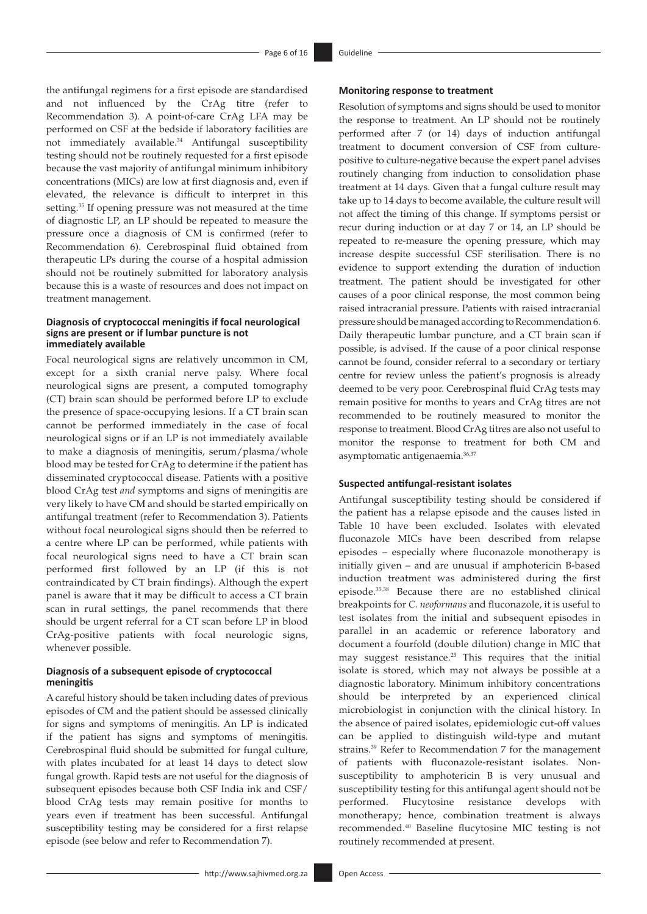<span id="page-5-1"></span><span id="page-5-0"></span>the antifungal regimens for a first episode are standardised and not influenced by the CrAg titre (refer to Recommendation 3). A point-of-care CrAg LFA may be performed on CSF at the bedside if laboratory facilities are not immediately available.<sup>[34](#page-15-7)</sup> Antifungal susceptibility testing should not be routinely requested for a first episode because the vast majority of antifungal minimum inhibitory concentrations (MICs) are low at first diagnosis and, even if elevated, the relevance is difficult to interpret in this setting[.35](#page-15-8) If opening pressure was not measured at the time of diagnostic LP, an LP should be repeated to measure the pressure once a diagnosis of CM is confirmed (refer to Recommendation 6). Cerebrospinal fluid obtained from therapeutic LPs during the course of a hospital admission should not be routinely submitted for laboratory analysis because this is a waste of resources and does not impact on treatment management.

#### **Diagnosis of cryptococcal meningitis if focal neurological signs are present or if lumbar puncture is not immediately available**

Focal neurological signs are relatively uncommon in CM, except for a sixth cranial nerve palsy. Where focal neurological signs are present, a computed tomography (CT) brain scan should be performed before LP to exclude the presence of space-occupying lesions. If a CT brain scan cannot be performed immediately in the case of focal neurological signs or if an LP is not immediately available to make a diagnosis of meningitis, serum/plasma/whole blood may be tested for CrAg to determine if the patient has disseminated cryptococcal disease. Patients with a positive blood CrAg test *and* symptoms and signs of meningitis are very likely to have CM and should be started empirically on antifungal treatment (refer to Recommendation 3). Patients without focal neurological signs should then be referred to a centre where LP can be performed, while patients with focal neurological signs need to have a CT brain scan performed first followed by an LP (if this is not contraindicated by CT brain findings). Although the expert panel is aware that it may be difficult to access a CT brain scan in rural settings, the panel recommends that there should be urgent referral for a CT scan before LP in blood CrAg-positive patients with focal neurologic signs, whenever possible.

#### **Diagnosis of a subsequent episode of cryptococcal meningitis**

<span id="page-5-6"></span>A careful history should be taken including dates of previous episodes of CM and the patient should be assessed clinically for signs and symptoms of meningitis. An LP is indicated if the patient has signs and symptoms of meningitis. Cerebrospinal fluid should be submitted for fungal culture, with plates incubated for at least 14 days to detect slow fungal growth. Rapid tests are not useful for the diagnosis of subsequent episodes because both CSF India ink and CSF/ blood CrAg tests may remain positive for months to years even if treatment has been successful. Antifungal susceptibility testing may be considered for a first relapse episode (see below and refer to Recommendation 7).

#### **Monitoring response to treatment**

Resolution of symptoms and signs should be used to monitor the response to treatment. An LP should not be routinely performed after 7 (or 14) days of induction antifungal treatment to document conversion of CSF from culturepositive to culture-negative because the expert panel advises routinely changing from induction to consolidation phase treatment at 14 days. Given that a fungal culture result may take up to 14 days to become available, the culture result will not affect the timing of this change. If symptoms persist or recur during induction or at day 7 or 14, an LP should be repeated to re-measure the opening pressure, which may increase despite successful CSF sterilisation. There is no evidence to support extending the duration of induction treatment. The patient should be investigated for other causes of a poor clinical response, the most common being raised intracranial pressure. Patients with raised intracranial pressure should be managed according to Recommendation6. Daily therapeutic lumbar puncture, and a CT brain scan if possible, is advised. If the cause of a poor clinical response cannot be found, consider referral to a secondary or tertiary centre for review unless the patient's prognosis is already deemed to be very poor. Cerebrospinal fluid CrAg tests may remain positive for months to years and CrAg titres are not recommended to be routinely measured to monitor the response to treatment. Blood CrAg titres are also not useful to monitor the response to treatment for both CM and asymptomatic antigenaemia.[36,](#page-15-9)[37](#page-15-10)

#### <span id="page-5-3"></span><span id="page-5-2"></span>**Suspected antifungal-resistant isolates**

<span id="page-5-5"></span><span id="page-5-4"></span>Antifungal susceptibility testing should be considered if the patient has a relapse episode and the causes listed in Table 10 have been excluded. Isolates with elevated fluconazole MICs have been described from relapse episodes – especially where fluconazole monotherapy is initially given – and are unusual if amphotericin B-based induction treatment was administered during the first episode.[35](#page-15-8),[38](#page-15-11) Because there are no established clinical breakpoints for *C. neoformans* and fluconazole, it is useful to test isolates from the initial and subsequent episodes in parallel in an academic or reference laboratory and document a fourfold (double dilution) change in MIC that may suggest resistance.[25](#page-14-24) This requires that the initial isolate is stored, which may not always be possible at a diagnostic laboratory. Minimum inhibitory concentrations should be interpreted by an experienced clinical microbiologist in conjunction with the clinical history. In the absence of paired isolates, epidemiologic cut-off values can be applied to distinguish wild-type and mutant strains[.39](#page-15-12) Refer to Recommendation 7 for the management of patients with fluconazole-resistant isolates. Nonsusceptibility to amphotericin B is very unusual and susceptibility testing for this antifungal agent should not be performed. Flucytosine resistance develops with monotherapy; hence, combination treatment is always recommended.[40](#page-15-13) Baseline flucytosine MIC testing is not routinely recommended at present.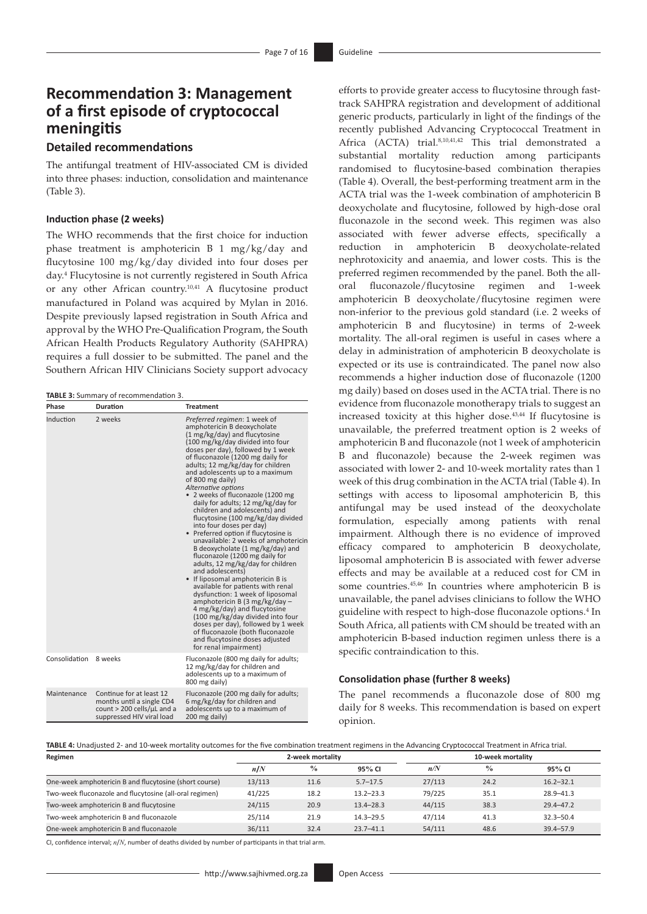# **Recommendation 3: Management of a first episode of cryptococcal meningitis**

# **Detailed recommendations**

The antifungal treatment of HIV-associated CM is divided into three phases: induction, consolidation and maintenance (Table 3).

#### **Induction phase (2 weeks)**

The WHO recommends that the first choice for induction phase treatment is amphotericin B 1 mg/kg/day and flucytosine 100 mg/kg/day divided into four doses per day[.4](#page-14-3) Flucytosine is not currently registered in South Africa or any other African country[.10,](#page-14-9)[41](#page-15-14) A flucytosine product manufactured in Poland was acquired by Mylan in 2016. Despite previously lapsed registration in South Africa and approval by the WHO Pre-Qualification Program, the South African Health Products Regulatory Authority (SAHPRA) requires a full dossier to be submitted. The panel and the Southern African HIV Clinicians Society support advocacy

**TABLE 3:** Summary of recommendation 3.

| Phase         | Duration                                                                                                               | <b>Treatment</b>                                                                                                                                                                                                                                                                                                                                                                                                                                                                                                                                                                                                                                                                                                                                                                                                                                                                                                                                                                                                                                                                             |
|---------------|------------------------------------------------------------------------------------------------------------------------|----------------------------------------------------------------------------------------------------------------------------------------------------------------------------------------------------------------------------------------------------------------------------------------------------------------------------------------------------------------------------------------------------------------------------------------------------------------------------------------------------------------------------------------------------------------------------------------------------------------------------------------------------------------------------------------------------------------------------------------------------------------------------------------------------------------------------------------------------------------------------------------------------------------------------------------------------------------------------------------------------------------------------------------------------------------------------------------------|
| Induction     | 2 weeks                                                                                                                | Preferred regimen: 1 week of<br>amphotericin B deoxycholate<br>(1 mg/kg/day) and flucytosine<br>(100 mg/kg/day divided into four<br>doses per day), followed by 1 week<br>of fluconazole (1200 mg daily for<br>adults; 12 mg/kg/day for children<br>and adolescents up to a maximum<br>of 800 mg daily)<br>Alternative options<br>• 2 weeks of fluconazole (1200 mg<br>daily for adults; 12 mg/kg/day for<br>children and adolescents) and<br>flucytosine (100 mg/kg/day divided<br>into four doses per day)<br>• Preferred option if flucytosine is<br>unavailable: 2 weeks of amphotericin<br>B deoxycholate (1 mg/kg/day) and<br>fluconazole (1200 mg daily for<br>adults, 12 mg/kg/day for children<br>and adolescents)<br>• If liposomal amphotericin B is<br>available for patients with renal<br>dysfunction: 1 week of liposomal<br>amphotericin B $(3 \text{ mg/kg/day} -$<br>4 mg/kg/day) and flucytosine<br>(100 mg/kg/day divided into four<br>doses per day), followed by 1 week<br>of fluconazole (both fluconazole<br>and flucytosine doses adjusted<br>for renal impairment) |
| Consolidation | 8 weeks                                                                                                                | Fluconazole (800 mg daily for adults;<br>12 mg/kg/day for children and<br>adolescents up to a maximum of<br>800 mg daily)                                                                                                                                                                                                                                                                                                                                                                                                                                                                                                                                                                                                                                                                                                                                                                                                                                                                                                                                                                    |
| Maintenance   | Continue for at least 12<br>months until a single CD4<br>count > 200 cells/ $\mu$ L and a<br>suppressed HIV viral load | Fluconazole (200 mg daily for adults;<br>6 mg/kg/day for children and<br>adolescents up to a maximum of<br>200 mg daily)                                                                                                                                                                                                                                                                                                                                                                                                                                                                                                                                                                                                                                                                                                                                                                                                                                                                                                                                                                     |

<span id="page-6-1"></span><span id="page-6-0"></span>efforts to provide greater access to flucytosine through fasttrack SAHPRA registration and development of additional generic products, particularly in light of the findings of the recently published Advancing Cryptococcal Treatment in Africa (ACTA) trial[.8](#page-14-7)[,10,](#page-14-9)[41](#page-15-14),[42](#page-15-15) This trial demonstrated a substantial mortality reduction among participants randomised to flucytosine-based combination therapies (Table 4). Overall, the best-performing treatment arm in the ACTA trial was the 1-week combination of amphotericin B deoxycholate and flucytosine, followed by high-dose oral fluconazole in the second week. This regimen was also associated with fewer adverse effects, specifically a reduction in amphotericin B deoxycholate-related nephrotoxicity and anaemia, and lower costs. This is the preferred regimen recommended by the panel. Both the alloral fluconazole/flucytosine regimen and 1-week amphotericin B deoxycholate/flucytosine regimen were non-inferior to the previous gold standard (i.e. 2 weeks of amphotericin B and flucytosine) in terms of 2-week mortality. The all-oral regimen is useful in cases where a delay in administration of amphotericin B deoxycholate is expected or its use is contraindicated. The panel now also recommends a higher induction dose of fluconazole (1200 mg daily) based on doses used in the ACTA trial. There is no evidence from fluconazole monotherapy trials to suggest an increased toxicity at this higher dose[.43,](#page-15-16)[44](#page-15-17) If flucytosine is unavailable, the preferred treatment option is 2 weeks of amphotericin B and fluconazole (not 1 week of amphotericin B and fluconazole) because the 2-week regimen was associated with lower 2- and 10-week mortality rates than 1 week of this drug combination in the ACTA trial (Table 4). In settings with access to liposomal amphotericin B, this antifungal may be used instead of the deoxycholate formulation, especially among patients with renal impairment. Although there is no evidence of improved efficacy compared to amphotericin B deoxycholate, liposomal amphotericin B is associated with fewer adverse effects and may be available at a reduced cost for CM in some countries[.45,](#page-15-18)[46](#page-15-19) In countries where amphotericin B is unavailable, the panel advises clinicians to follow the WHO guideline with respect to high-dose fluconazole options.<sup>4</sup> In South Africa, all patients with CM should be treated with an amphotericin B-based induction regimen unless there is a specific contraindication to this.

# <span id="page-6-5"></span><span id="page-6-4"></span><span id="page-6-3"></span><span id="page-6-2"></span>**Consolidation phase (further 8 weeks)**

The panel recommends a fluconazole dose of 800 mg daily for 8 weeks. This recommendation is based on expert opinion.

|     | TABLE 4: Unadjusted 2- and 10-week mortality outcomes for the five combination treatment regimens in the Advancing Cryptococcal Treatment in Africa trial. |  |
|-----|------------------------------------------------------------------------------------------------------------------------------------------------------------|--|
| - - |                                                                                                                                                            |  |

| Regimen                                                 | 2-week mortality |               |               | 10-week mortality |               |               |
|---------------------------------------------------------|------------------|---------------|---------------|-------------------|---------------|---------------|
|                                                         | n/N              | $\frac{0}{0}$ | $95\%$ CI     | n/N               | $\frac{0}{0}$ | 95% CI        |
| One-week amphotericin B and flucytosine (short course)  | 13/113           | 11.6          | $5.7 - 17.5$  | 27/113            | 24.2          | $16.2 - 32.1$ |
| Two-week fluconazole and flucytosine (all-oral regimen) | 41/225           | 18.2          | $13.2 - 23.3$ | 79/225            | 35.1          | $28.9 - 41.3$ |
| Two-week amphotericin B and flucytosine                 | 24/115           | 20.9          | $13.4 - 28.3$ | 44/115            | 38.3          | $29.4 - 47.2$ |
| Two-week amphotericin B and fluconazole                 | 25/114           | 21.9          | $14.3 - 29.5$ | 47/114            | 41.3          | $32.3 - 50.4$ |
| One-week amphotericin B and fluconazole                 | 36/111           | 32.4          | $23.7 - 41.1$ | 54/111            | 48.6          | $39.4 - 57.9$ |

CI, confidence interval; *n*/*N*, number of deaths divided by number of participants in that trial arm.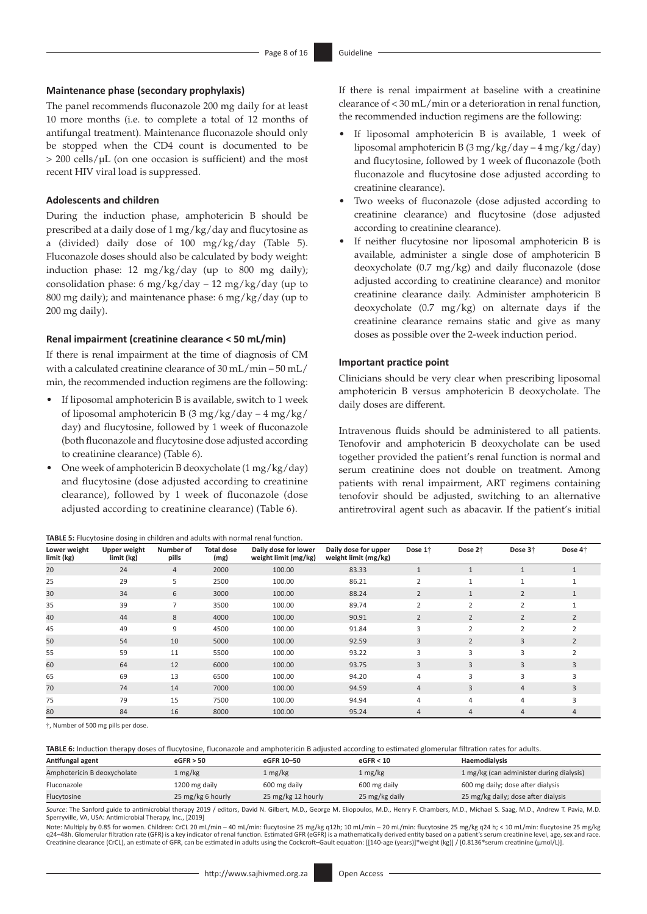#### **Maintenance phase (secondary prophylaxis)**

The panel recommends fluconazole 200 mg daily for at least 10 more months (i.e. to complete a total of 12 months of antifungal treatment). Maintenance fluconazole should only be stopped when the CD4 count is documented to be  $> 200$  cells/ $\mu$ L (on one occasion is sufficient) and the most recent HIV viral load is suppressed.

#### **Adolescents and children**

During the induction phase, amphotericin B should be prescribed at a daily dose of 1 mg/kg/day and flucytosine as a (divided) daily dose of 100 mg/kg/day (Table 5). Fluconazole doses should also be calculated by body weight: induction phase: 12 mg/kg/day (up to 800 mg daily); consolidation phase: 6 mg/kg/day – 12 mg/kg/day (up to 800 mg daily); and maintenance phase: 6 mg/kg/day (up to 200 mg daily).

#### **Renal impairment (creatinine clearance < 50 mL/min)**

If there is renal impairment at the time of diagnosis of CM with a calculated creatinine clearance of 30 mL/min – 50 mL/ min, the recommended induction regimens are the following:

- If liposomal amphotericin B is available, switch to 1 week of liposomal amphotericin B (3 mg/kg/day – 4 mg/kg/ day) and flucytosine, followed by 1 week of fluconazole (both fluconazole and flucytosine dose adjusted according to creatinine clearance) (Table 6).
- One week of amphotericin B deoxycholate (1 mg/kg/day) and flucytosine (dose adjusted according to creatinine clearance), followed by 1 week of fluconazole (dose adjusted according to creatinine clearance) (Table 6).

**TABLE 5:** Flucytosine dosing in children and adults with normal renal function.

If there is renal impairment at baseline with a creatinine clearance of < 30 mL/min or a deterioration in renal function, the recommended induction regimens are the following:

- If liposomal amphotericin B is available, 1 week of liposomal amphotericin B (3 mg/kg/day – 4 mg/kg/day) and flucytosine, followed by 1 week of fluconazole (both fluconazole and flucytosine dose adjusted according to creatinine clearance).
- Two weeks of fluconazole (dose adjusted according to creatinine clearance) and flucytosine (dose adjusted according to creatinine clearance).
- If neither flucytosine nor liposomal amphotericin B is available, administer a single dose of amphotericin B deoxycholate (0.7 mg/kg) and daily fluconazole (dose adjusted according to creatinine clearance) and monitor creatinine clearance daily. Administer amphotericin B deoxycholate (0.7 mg/kg) on alternate days if the creatinine clearance remains static and give as many doses as possible over the 2-week induction period.

#### **Important practice point**

Clinicians should be very clear when prescribing liposomal amphotericin B versus amphotericin B deoxycholate. The daily doses are different.

Intravenous fluids should be administered to all patients. Tenofovir and amphotericin B deoxycholate can be used together provided the patient's renal function is normal and serum creatinine does not double on treatment. Among patients with renal impairment, ART regimens containing tenofovir should be adjusted, switching to an alternative antiretroviral agent such as abacavir. If the patient's initial

| Lower weight<br>limit (kg) | Upper weight<br>limit (kg) | Number of<br>pills | <b>Total dose</b><br>(mg) | Daily dose for lower<br>weight limit (mg/kg) | Daily dose for upper<br>weight limit (mg/kg) | Dose 1 <sup>+</sup> | Dose 2 <sup>†</sup> | Dose 3 <sup>+</sup> | Dose 4 <sup>+</sup> |
|----------------------------|----------------------------|--------------------|---------------------------|----------------------------------------------|----------------------------------------------|---------------------|---------------------|---------------------|---------------------|
| 20                         | 24                         | $\overline{4}$     | 2000                      | 100.00                                       | 83.33                                        | $\mathbf{1}$        |                     |                     |                     |
| 25                         | 29                         | 5                  | 2500                      | 100.00                                       | 86.21                                        | 2                   |                     |                     |                     |
| 30                         | 34                         | 6                  | 3000                      | 100.00                                       | 88.24                                        | $\overline{2}$      | $\mathbf{1}$        | $\overline{2}$      |                     |
| 35                         | 39                         |                    | 3500                      | 100.00                                       | 89.74                                        | $\overline{2}$      | $\overline{2}$      | 2                   |                     |
| 40                         | 44                         | 8                  | 4000                      | 100.00                                       | 90.91                                        | $\overline{2}$      | $\overline{2}$      | $\overline{2}$      | $\overline{2}$      |
| 45                         | 49                         | 9                  | 4500                      | 100.00                                       | 91.84                                        | 3                   | $\mathcal{P}$       | $\overline{2}$      |                     |
| 50                         | 54                         | 10                 | 5000                      | 100.00                                       | 92.59                                        | 3                   | $\overline{2}$      | 3                   | $\overline{2}$      |
| 55                         | 59                         | 11                 | 5500                      | 100.00                                       | 93.22                                        | 3                   | 3                   | 3                   |                     |
| 60                         | 64                         | 12                 | 6000                      | 100.00                                       | 93.75                                        | 3                   | 3                   | 3                   | 3                   |
| 65                         | 69                         | 13                 | 6500                      | 100.00                                       | 94.20                                        | $\overline{4}$      | 3                   | 3                   |                     |
| 70                         | 74                         | 14                 | 7000                      | 100.00                                       | 94.59                                        | $\overline{4}$      | 3                   | $\overline{4}$      | $\mathbf{R}$        |
| 75                         | 79                         | 15                 | 7500                      | 100.00                                       | 94.94                                        | $\overline{4}$      | 4                   | 4                   |                     |
| 80                         | 84                         | 16                 | 8000                      | 100.00                                       | 95.24                                        | $\overline{4}$      | $\overline{4}$      | $\overline{4}$      | 4                   |

†, Number of 500 mg pills per dose.

**TABLE 6:** Induction therapy doses of flucytosine, fluconazole and amphotericin B adjusted according to estimated glomerular filtration rates for adults.

| Antifungal agent            | eGFR > 50         | eGFR 10-50         | eGFR < 10         | <b>Haemodialysis</b>                     |
|-----------------------------|-------------------|--------------------|-------------------|------------------------------------------|
| Amphotericin B deoxycholate | 1 mg/kg           | 1 mg/kg            | $1 \text{ mg/kg}$ | 1 mg/kg (can administer during dialysis) |
| Fluconazole                 | 1200 mg daily     | 600 mg daily       | 600 mg daily      | 600 mg daily; dose after dialysis        |
| Flucytosine                 | 25 mg/kg 6 hourly | 25 mg/kg 12 hourly | 25 mg/kg daily    | 25 mg/kg daily; dose after dialysis      |
|                             |                   |                    |                   |                                          |

*Source*: The Sanford guide to antimicrobial therapy 2019 / editors, David N. Gilbert, M.D., George M. Eliopoulos, M.D., Henry F. Chambers, M.D., Michael S. Saag, M.D., Andrew T. Pavia, M.D. Sperryville, VA, USA: Antimicrobial Therapy, Inc., [2019]

Note: Multiply by 0.85 for women. Children: CrCL 20 mL/min – 40 mL/min: flucytosine 25 mg/kg q12h; 10 mL/min – 20 mL/min: flucytosine 25 mg/kg q24 h; < 10 mL/min: flucytosine 25 mg/kg q24–48h. Glomerular filtration rate (GFR) is a key indicator of renal function. Estimated GFR (eGFR) is a mathematically derived entity based on a patient's serum creatinine level, age, sex and race.<br>Creatinine clearance (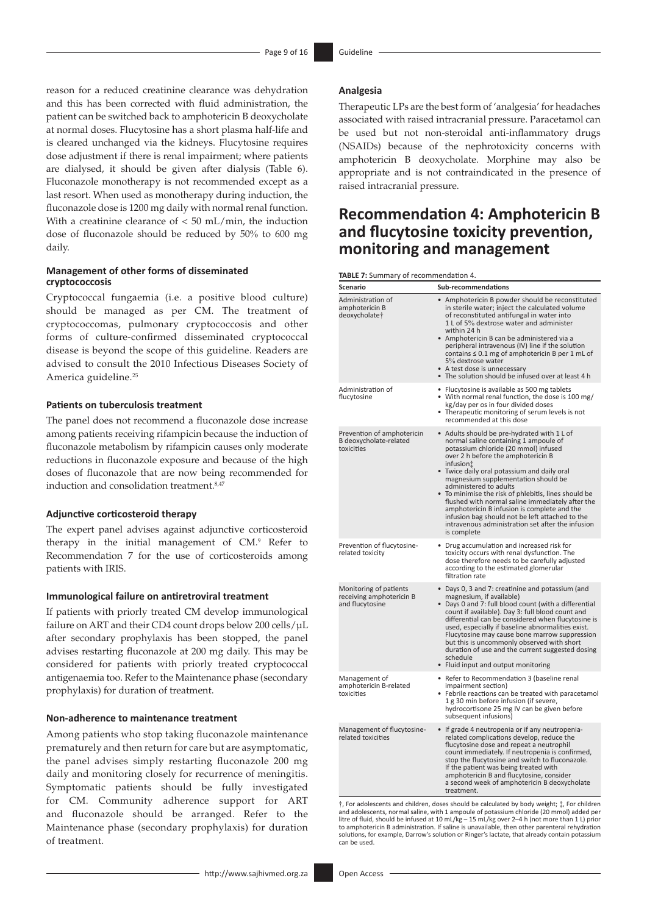reason for a reduced creatinine clearance was dehydration and this has been corrected with fluid administration, the patient can be switched back to amphotericin B deoxycholate at normal doses. Flucytosine has a short plasma half-life and is cleared unchanged via the kidneys. Flucytosine requires dose adjustment if there is renal impairment; where patients are dialysed, it should be given after dialysis (Table 6). Fluconazole monotherapy is not recommended except as a last resort. When used as monotherapy during induction, the fluconazole dose is 1200 mg daily with normal renal function. With a creatinine clearance of  $< 50$  mL/min, the induction dose of fluconazole should be reduced by 50% to 600 mg daily.

### **Management of other forms of disseminated cryptococcosis**

Cryptococcal fungaemia (i.e. a positive blood culture) should be managed as per CM. The treatment of cryptococcomas, pulmonary cryptococcosis and other forms of culture-confirmed disseminated cryptococcal disease is beyond the scope of this guideline. Readers are advised to consult the 2010 Infectious Diseases Society of America guideline.[25](#page-14-24)

#### **Patients on tuberculosis treatment**

The panel does not recommend a fluconazole dose increase among patients receiving rifampicin because the induction of fluconazole metabolism by rifampicin causes only moderate reductions in fluconazole exposure and because of the high doses of fluconazole that are now being recommended for induction and consolidation treatment.<sup>[8](#page-14-7)[,47](#page-15-20)</sup>

#### **Adjunctive corticosteroid therapy**

The expert panel advises against adjunctive corticosteroid therapy in the initial management of CM.<sup>9</sup> Refer to Recommendation 7 for the use of corticosteroids among patients with IRIS.

#### **Immunological failure on antiretroviral treatment**

If patients with priorly treated CM develop immunological failure on ART and their CD4 count drops below 200 cells/µL after secondary prophylaxis has been stopped, the panel advises restarting fluconazole at 200 mg daily. This may be considered for patients with priorly treated cryptococcal antigenaemia too. Refer to the Maintenance phase (secondary prophylaxis) for duration of treatment.

#### **Non-adherence to maintenance treatment**

Among patients who stop taking fluconazole maintenance prematurely and then return for care but are asymptomatic, the panel advises simply restarting fluconazole 200 mg daily and monitoring closely for recurrence of meningitis. Symptomatic patients should be fully investigated for CM. Community adherence support for ART and fluconazole should be arranged. Refer to the Maintenance phase (secondary prophylaxis) for duration of treatment.

#### **Analgesia**

Therapeutic LPs are the best form of 'analgesia' for headaches associated with raised intracranial pressure. Paracetamol can be used but not non-steroidal anti-inflammatory drugs (NSAIDs) because of the nephrotoxicity concerns with amphotericin B deoxycholate. Morphine may also be appropriate and is not contraindicated in the presence of raised intracranial pressure.

# **Recommendation 4: Amphotericin B and flucytosine toxicity prevention, monitoring and management**

**TABLE 7:** Summary of recommendation 4.

<span id="page-8-0"></span>

| Scenario                                                              | Sub-recommendations                                                                                                                                                                                                                                                                                                                                                                                                                                                                                                                                                                          |
|-----------------------------------------------------------------------|----------------------------------------------------------------------------------------------------------------------------------------------------------------------------------------------------------------------------------------------------------------------------------------------------------------------------------------------------------------------------------------------------------------------------------------------------------------------------------------------------------------------------------------------------------------------------------------------|
| Administration of<br>amphotericin B<br>deoxycholate†                  | • Amphotericin B powder should be reconstituted<br>in sterile water; inject the calculated volume<br>of reconstituted antifungal in water into<br>1 L of 5% dextrose water and administer<br>within 24 h<br>Amphotericin B can be administered via a<br>peripheral intravenous (IV) line if the solution<br>contains $\leq 0.1$ mg of amphotericin B per 1 mL of<br>5% dextrose water<br>• A test dose is unnecessary<br>The solution should be infused over at least 4 h                                                                                                                    |
| Administration of<br>flucytosine                                      | • Flucytosine is available as 500 mg tablets<br>• With normal renal function, the dose is 100 mg/<br>kg/day per os in four divided doses<br>• Therapeutic monitoring of serum levels is not<br>recommended at this dose                                                                                                                                                                                                                                                                                                                                                                      |
| Prevention of amphotericin<br>B deoxycholate-related<br>toxicities    | • Adults should be pre-hydrated with 1 L of<br>normal saline containing 1 ampoule of<br>potassium chloride (20 mmol) infused<br>over 2 h before the amphotericin B<br>infusiont<br>• Twice daily oral potassium and daily oral<br>magnesium supplementation should be<br>administered to adults<br>To minimise the risk of phlebitis, lines should be<br>$\bullet$<br>flushed with normal saline immediately after the<br>amphotericin B infusion is complete and the<br>infusion bag should not be left attached to the<br>intravenous administration set after the infusion<br>is complete |
| Prevention of flucytosine-<br>related toxicity                        | Drug accumulation and increased risk for<br>toxicity occurs with renal dysfunction. The<br>dose therefore needs to be carefully adjusted<br>according to the estimated glomerular<br>filtration rate                                                                                                                                                                                                                                                                                                                                                                                         |
| Monitoring of patients<br>receiving amphotericin B<br>and flucytosine | • Days 0, 3 and 7: creatinine and potassium (and<br>magnesium, if available)<br>• Days 0 and 7: full blood count (with a differential<br>count if available). Day 3: full blood count and<br>differential can be considered when flucytosine is<br>used, especially if baseline abnormalities exist.<br>Flucytosine may cause bone marrow suppression<br>but this is uncommonly observed with short<br>duration of use and the current suggested dosing<br>schedule<br>• Fluid input and output monitoring                                                                                   |
| Management of<br>amphotericin B-related<br>toxicities                 | • Refer to Recommendation 3 (baseline renal<br>impairment section)<br>• Febrile reactions can be treated with paracetamol<br>1 g 30 min before infusion (if severe,<br>hydrocortisone 25 mg IV can be given before<br>subsequent infusions)                                                                                                                                                                                                                                                                                                                                                  |
| Management of flucytosine-<br>related toxicities                      | • If grade 4 neutropenia or if any neutropenia-<br>related complications develop, reduce the<br>flucytosine dose and repeat a neutrophil<br>count immediately. If neutropenia is confirmed,<br>stop the flucytosine and switch to fluconazole.<br>If the patient was being treated with<br>amphotericin B and flucytosine, consider<br>a second week of amphotericin B deoxycholate<br>treatment.                                                                                                                                                                                            |

†, For adolescents and children, doses should be calculated by body weight; ‡, For children and adolescents, normal saline, with 1 ampoule of potassium chloride (20 mmol) added per litre of fluid, should be infused at 10 mL/kg – 15 mL/kg over 2–4 h (not more than 1 L) prior to amphotericin B administration. If saline is unavailable, then other parenteral rehydration solutions, for example, Darrow's solution or Ringer's lactate, that already contain potassium can be used.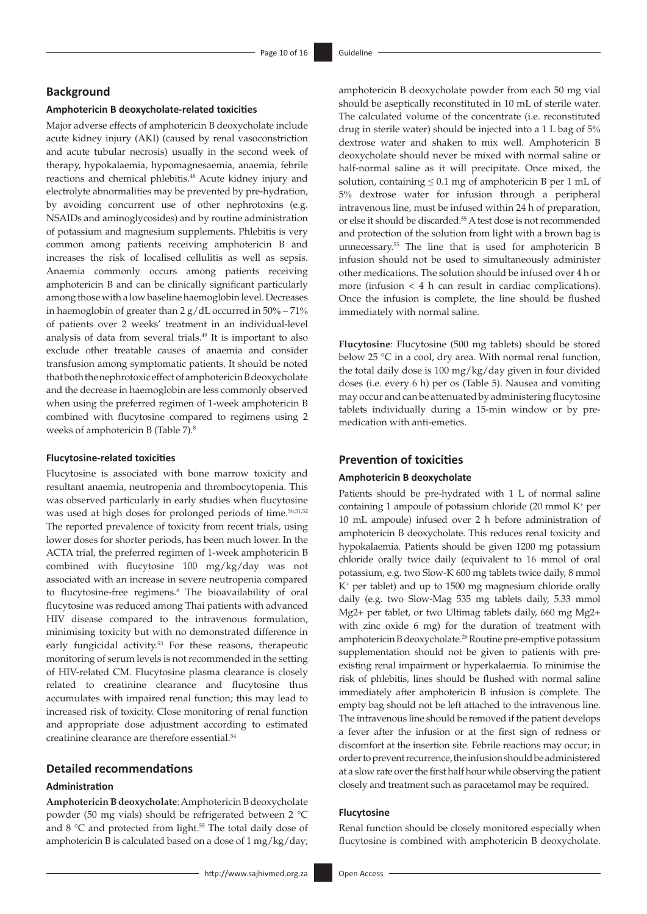# **Background**

#### **Amphotericin B deoxycholate-related toxicities**

<span id="page-9-0"></span>Major adverse effects of amphotericin B deoxycholate include acute kidney injury (AKI) (caused by renal vasoconstriction and acute tubular necrosis) usually in the second week of therapy, hypokalaemia, hypomagnesaemia, anaemia, febrile reactions and chemical phlebitis.[48](#page-15-21) Acute kidney injury and electrolyte abnormalities may be prevented by pre-hydration, by avoiding concurrent use of other nephrotoxins (e.g. NSAIDs and aminoglycosides) and by routine administration of potassium and magnesium supplements. Phlebitis is very common among patients receiving amphotericin B and increases the risk of localised cellulitis as well as sepsis. Anaemia commonly occurs among patients receiving amphotericin B and can be clinically significant particularly among those with a low baseline haemoglobin level. Decreases in haemoglobin of greater than 2 g/dL occurred in 50% – 71% of patients over 2 weeks' treatment in an individual-level analysis of data from several trials.[49](#page-15-22) It is important to also exclude other treatable causes of anaemia and consider transfusion among symptomatic patients. It should be noted that both the nephrotoxic effect of amphotericin B deoxycholate and the decrease in haemoglobin are less commonly observed when using the preferred regimen of 1-week amphotericin B combined with flucytosine compared to regimens using 2 weeks of amphotericin B (Table 7).[8](#page-14-7)

#### <span id="page-9-1"></span>**Flucytosine-related toxicities**

<span id="page-9-2"></span>Flucytosine is associated with bone marrow toxicity and resultant anaemia, neutropenia and thrombocytopenia. This was observed particularly in early studies when flucytosine was used at high doses for prolonged periods of time.<sup>50,[51](#page-15-24)[,52](#page-15-25)</sup> The reported prevalence of toxicity from recent trials, using lower doses for shorter periods, has been much lower. In the ACTA trial, the preferred regimen of 1-week amphotericin B combined with flucytosine 100 mg/kg/day was not associated with an increase in severe neutropenia compared to flucytosine-free regimens[.8](#page-14-7) The bioavailability of oral flucytosine was reduced among Thai patients with advanced HIV disease compared to the intravenous formulation, minimising toxicity but with no demonstrated difference in early fungicidal activity.<sup>[53](#page-15-26)</sup> For these reasons, therapeutic monitoring of serum levels is not recommended in the setting of HIV-related CM. Flucytosine plasma clearance is closely related to creatinine clearance and flucytosine thus accumulates with impaired renal function; this may lead to increased risk of toxicity. Close monitoring of renal function and appropriate dose adjustment according to estimated creatinine clearance are therefore essential[.54](#page-15-27)

# <span id="page-9-5"></span><span id="page-9-4"></span>**Detailed recommendations**

### **Administration**

<span id="page-9-6"></span>**Amphotericin B deoxycholate**: Amphotericin B deoxycholate powder (50 mg vials) should be refrigerated between 2 °C and 8 °C and protected from light.<sup>55</sup> The total daily dose of amphotericin B is calculated based on a dose of 1 mg/kg/day;

amphotericin B deoxycholate powder from each 50 mg vial should be aseptically reconstituted in 10 mL of sterile water. The calculated volume of the concentrate (i.e. reconstituted drug in sterile water) should be injected into a 1 L bag of 5% dextrose water and shaken to mix well. Amphotericin B deoxycholate should never be mixed with normal saline or half-normal saline as it will precipitate. Once mixed, the solution, containing  $\leq 0.1$  mg of amphotericin B per 1 mL of 5% dextrose water for infusion through a peripheral intravenous line, must be infused within 24 h of preparation, or else it should be discarded[.55](#page-15-28) A test dose is not recommended and protection of the solution from light with a brown bag is unnecessary[.55](#page-15-28) The line that is used for amphotericin B infusion should not be used to simultaneously administer other medications. The solution should be infused over 4 h or more (infusion  $\lt 4$  h can result in cardiac complications). Once the infusion is complete, the line should be flushed immediately with normal saline.

**Flucytosine**: Flucytosine (500 mg tablets) should be stored below 25 °C in a cool, dry area. With normal renal function, the total daily dose is 100 mg/kg/day given in four divided doses (i.e. every 6 h) per os (Table 5). Nausea and vomiting may occur and can be attenuated by administering flucytosine tablets individually during a 15-min window or by premedication with anti-emetics.

# **Prevention of toxicities**

#### **Amphotericin B deoxycholate**

<span id="page-9-3"></span>Patients should be pre-hydrated with 1 L of normal saline containing 1 ampoule of potassium chloride (20 mmol K+ per 10 mL ampoule) infused over 2 h before administration of amphotericin B deoxycholate. This reduces renal toxicity and hypokalaemia. Patients should be given 1200 mg potassium chloride orally twice daily (equivalent to 16 mmol of oral potassium, e.g. two Slow-K 600 mg tablets twice daily, 8 mmol K+ per tablet) and up to 1500 mg magnesium chloride orally daily (e.g. two Slow-Mag 535 mg tablets daily, 5.33 mmol Mg2+ per tablet, or two Ultimag tablets daily, 660 mg Mg2+ with zinc oxide 6 mg) for the duration of treatment with amphotericin B deoxycholate[.26](#page-14-25) Routine pre-emptive potassium supplementation should not be given to patients with preexisting renal impairment or hyperkalaemia. To minimise the risk of phlebitis, lines should be flushed with normal saline immediately after amphotericin B infusion is complete. The empty bag should not be left attached to the intravenous line. The intravenous line should be removed if the patient develops a fever after the infusion or at the first sign of redness or discomfort at the insertion site. Febrile reactions may occur; in order to prevent recurrence, the infusion should be administered at a slow rate over the first half hour while observing the patient closely and treatment such as paracetamol may be required.

#### **Flucytosine**

Renal function should be closely monitored especially when flucytosine is combined with amphotericin B deoxycholate.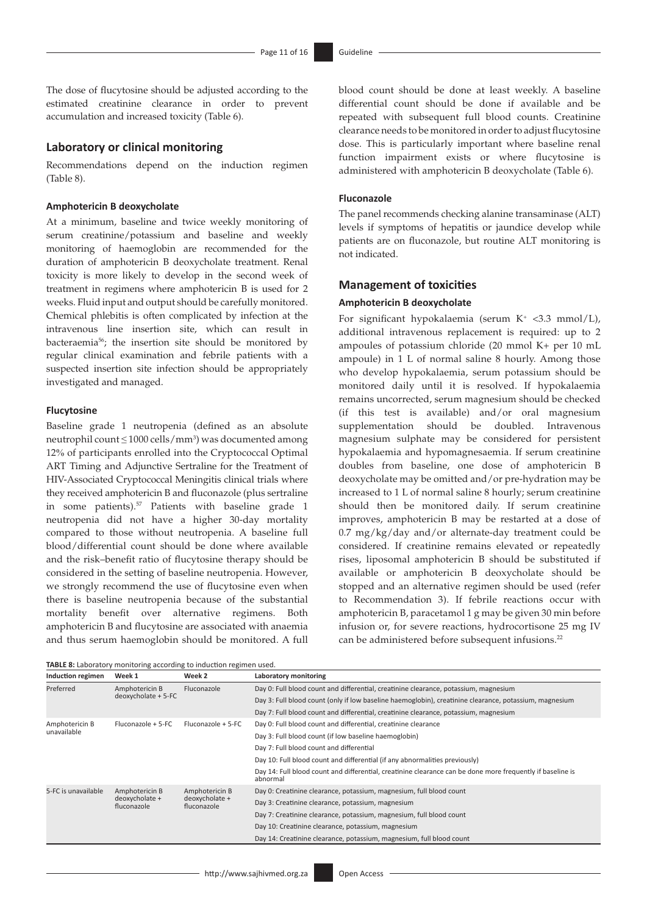The dose of flucytosine should be adjusted according to the estimated creatinine clearance in order to prevent accumulation and increased toxicity (Table 6).

# **Laboratory or clinical monitoring**

Recommendations depend on the induction regimen (Table 8).

#### **Amphotericin B deoxycholate**

At a minimum, baseline and twice weekly monitoring of serum creatinine/potassium and baseline and weekly monitoring of haemoglobin are recommended for the duration of amphotericin B deoxycholate treatment. Renal toxicity is more likely to develop in the second week of treatment in regimens where amphotericin B is used for 2 weeks. Fluid input and output should be carefully monitored. Chemical phlebitis is often complicated by infection at the intravenous line insertion site, which can result in bacteraemia<sup>56</sup>; the insertion site should be monitored by regular clinical examination and febrile patients with a suspected insertion site infection should be appropriately investigated and managed.

#### <span id="page-10-0"></span>**Flucytosine**

<span id="page-10-1"></span>Baseline grade 1 neutropenia (defined as an absolute neutrophil count ≤ 1000 cells/mm3 ) was documented among 12% of participants enrolled into the Cryptococcal Optimal ART Timing and Adjunctive Sertraline for the Treatment of HIV-Associated Cryptococcal Meningitis clinical trials where they received amphotericin B and fluconazole (plus sertraline in some patients)[.57](#page-15-30) Patients with baseline grade 1 neutropenia did not have a higher 30-day mortality compared to those without neutropenia. A baseline full blood/differential count should be done where available and the risk–benefit ratio of flucytosine therapy should be considered in the setting of baseline neutropenia. However, we strongly recommend the use of flucytosine even when there is baseline neutropenia because of the substantial mortality benefit over alternative regimens. Both amphotericin B and flucytosine are associated with anaemia and thus serum haemoglobin should be monitored. A full blood count should be done at least weekly. A baseline differential count should be done if available and be repeated with subsequent full blood counts. Creatinine clearance needs to be monitored in order to adjust flucytosine dose. This is particularly important where baseline renal function impairment exists or where flucytosine is administered with amphotericin B deoxycholate (Table 6).

#### **Fluconazole**

The panel recommends checking alanine transaminase (ALT) levels if symptoms of hepatitis or jaundice develop while patients are on fluconazole, but routine ALT monitoring is not indicated.

# **Management of toxicities**

### **Amphotericin B deoxycholate**

For significant hypokalaemia (serum  $K^+ < 3.3$  mmol/L), additional intravenous replacement is required: up to 2 ampoules of potassium chloride (20 mmol K+ per 10 mL ampoule) in 1 L of normal saline 8 hourly. Among those who develop hypokalaemia, serum potassium should be monitored daily until it is resolved. If hypokalaemia remains uncorrected, serum magnesium should be checked (if this test is available) and/or oral magnesium supplementation should be doubled. Intravenous magnesium sulphate may be considered for persistent hypokalaemia and hypomagnesaemia. If serum creatinine doubles from baseline, one dose of amphotericin B deoxycholate may be omitted and/or pre-hydration may be increased to 1 L of normal saline 8 hourly; serum creatinine should then be monitored daily. If serum creatinine improves, amphotericin B may be restarted at a dose of 0.7 mg/kg/day and/or alternate-day treatment could be considered. If creatinine remains elevated or repeatedly rises, liposomal amphotericin B should be substituted if available or amphotericin B deoxycholate should be stopped and an alternative regimen should be used (refer to Recommendation 3). If febrile reactions occur with amphotericin B, paracetamol 1 g may be given 30 min before infusion or, for severe reactions, hydrocortisone 25 mg IV can be administered before subsequent infusions.<sup>[22](#page-14-21)</sup>

|   | <b>TABLE 8:</b> Laboratory monitoring according to induction regimen used. |  |
|---|----------------------------------------------------------------------------|--|
| . |                                                                            |  |

| Induction regimen   | Week 1                                          | Week 2                                          | Laboratory monitoring                                                                                                  |
|---------------------|-------------------------------------------------|-------------------------------------------------|------------------------------------------------------------------------------------------------------------------------|
| Preferred           | Amphotericin B                                  | Fluconazole                                     | Day 0: Full blood count and differential, creatinine clearance, potassium, magnesium                                   |
|                     | $deoxycholate + 5-FC$                           |                                                 | Day 3: Full blood count (only if low baseline haemoglobin), creatinine clearance, potassium, magnesium                 |
|                     |                                                 |                                                 | Day 7: Full blood count and differential, creatinine clearance, potassium, magnesium                                   |
| Amphotericin B      | Fluconazole + 5-FC                              | Fluconazole + 5-FC                              | Day 0: Full blood count and differential, creatinine clearance                                                         |
| unavailable         |                                                 |                                                 | Day 3: Full blood count (if low baseline haemoglobin)                                                                  |
|                     |                                                 |                                                 | Day 7: Full blood count and differential                                                                               |
|                     |                                                 |                                                 | Day 10: Full blood count and differential (if any abnormalities previously)                                            |
|                     |                                                 |                                                 | Day 14: Full blood count and differential, creatinine clearance can be done more frequently if baseline is<br>abnormal |
| 5-FC is unavailable | Amphotericin B<br>deoxycholate +<br>fluconazole | Amphotericin B<br>deoxycholate +<br>fluconazole | Day 0: Creatinine clearance, potassium, magnesium, full blood count                                                    |
|                     |                                                 |                                                 | Day 3: Creatinine clearance, potassium, magnesium                                                                      |
|                     |                                                 |                                                 | Day 7: Creatinine clearance, potassium, magnesium, full blood count                                                    |
|                     |                                                 |                                                 | Day 10: Creatinine clearance, potassium, magnesium                                                                     |
|                     |                                                 |                                                 | Day 14: Creatinine clearance, potassium, magnesium, full blood count                                                   |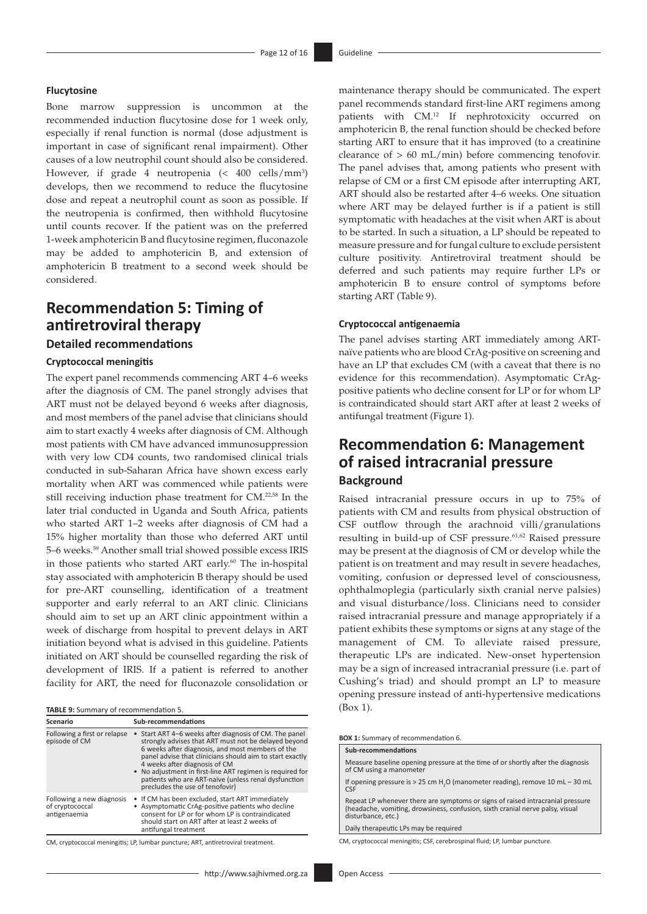#### **Flucytosine**

Bone marrow suppression is uncommon at the recommended induction flucytosine dose for 1 week only, especially if renal function is normal (dose adjustment is important in case of significant renal impairment). Other causes of a low neutrophil count should also be considered. However, if grade 4 neutropenia (< 400 cells/mm3 ) develops, then we recommend to reduce the flucytosine dose and repeat a neutrophil count as soon as possible. If the neutropenia is confirmed, then withhold flucytosine until counts recover. If the patient was on the preferred 1-week amphotericin B and flucytosine regimen, fluconazole may be added to amphotericin B, and extension of amphotericin B treatment to a second week should be considered.

# **Recommendation 5: Timing of antiretroviral therapy**

# **Detailed recommendations**

# **Cryptococcal meningitis**

The expert panel recommends commencing ART 4–6 weeks after the diagnosis of CM. The panel strongly advises that ART must not be delayed beyond 6 weeks after diagnosis, and most members of the panel advise that clinicians should aim to start exactly 4 weeks after diagnosis of CM. Although most patients with CM have advanced immunosuppression with very low CD4 counts, two randomised clinical trials conducted in sub-Saharan Africa have shown excess early mortality when ART was commenced while patients were still receiving induction phase treatment for CM[.22](#page-14-21),[58](#page-15-31) In the later trial conducted in Uganda and South Africa, patients who started ART 1–2 weeks after diagnosis of CM had a 15% higher mortality than those who deferred ART until 5–6 weeks.[59](#page-15-32) Another small trial showed possible excess IRIS in those patients who started ART early.<sup>[60](#page-15-33)</sup> The in-hospital stay associated with amphotericin B therapy should be used for pre-ART counselling, identification of a treatment supporter and early referral to an ART clinic. Clinicians should aim to set up an ART clinic appointment within a week of discharge from hospital to prevent delays in ART initiation beyond what is advised in this guideline. Patients initiated on ART should be counselled regarding the risk of development of IRIS. If a patient is referred to another facility for ART, the need for fluconazole consolidation or

<span id="page-11-2"></span><span id="page-11-1"></span>**TABLE 9:** Summary of recommendation 5. (Box 1).

| Scenario                                                     | Sub-recommendations                                                                                                                                                                                                                                                                                                                                                                                                                |
|--------------------------------------------------------------|------------------------------------------------------------------------------------------------------------------------------------------------------------------------------------------------------------------------------------------------------------------------------------------------------------------------------------------------------------------------------------------------------------------------------------|
| Following a first or relapse<br>episode of CM                | Start ART 4–6 weeks after diagnosis of CM. The panel<br>$\bullet$<br>strongly advises that ART must not be delayed beyond<br>6 weeks after diagnosis, and most members of the<br>panel advise that clinicians should aim to start exactly<br>4 weeks after diagnosis of CM<br>• No adjustment in first-line ART regimen is required for<br>patients who are ART-naïve (unless renal dysfunction<br>precludes the use of tenofovir) |
| Following a new diagnosis<br>of cryptococcal<br>antigenaemia | • If CM has been excluded, start ART immediately<br>• Asymptomatic CrAg-positive patients who decline<br>consent for LP or for whom LP is contraindicated<br>should start on ART after at least 2 weeks of<br>antifungal treatment                                                                                                                                                                                                 |

CM, cryptococcal meningitis; LP, lumbar puncture; ART, antiretroviral treatment.

maintenance therapy should be communicated. The expert panel recommends standard first-line ART regimens among patients with CM.<sup>[12](#page-14-11)</sup> If nephrotoxicity occurred on amphotericin B, the renal function should be checked before starting ART to ensure that it has improved (to a creatinine clearance of > 60 mL/min) before commencing tenofovir. The panel advises that, among patients who present with relapse of CM or a first CM episode after interrupting ART, ART should also be restarted after 4–6 weeks. One situation where ART may be delayed further is if a patient is still symptomatic with headaches at the visit when ART is about to be started. In such a situation, a LP should be repeated to measure pressure and for fungal culture to exclude persistent culture positivity. Antiretroviral treatment should be deferred and such patients may require further LPs or amphotericin B to ensure control of symptoms before starting ART (Table 9).

#### **Cryptococcal antigenaemia**

The panel advises starting ART immediately among ARTnaïve patients who are blood CrAg-positive on screening and have an LP that excludes CM (with a caveat that there is no evidence for this recommendation). Asymptomatic CrAgpositive patients who decline consent for LP or for whom LP is contraindicated should start ART after at least 2 weeks of antifungal treatment (Figure 1).

# **Recommendation 6: Management of raised intracranial pressure Background**

<span id="page-11-4"></span><span id="page-11-3"></span><span id="page-11-0"></span>Raised intracranial pressure occurs in up to 75% of patients with CM and results from physical obstruction of CSF outflow through the arachnoid villi/granulations resulting in build-up of CSF pressure[.61,](#page-15-34)[62](#page-15-35) Raised pressure may be present at the diagnosis of CM or develop while the patient is on treatment and may result in severe headaches, vomiting, confusion or depressed level of consciousness, ophthalmoplegia (particularly sixth cranial nerve palsies) and visual disturbance/loss. Clinicians need to consider raised intracranial pressure and manage appropriately if a patient exhibits these symptoms or signs at any stage of the management of CM. To alleviate raised pressure, therapeutic LPs are indicated. New-onset hypertension may be a sign of increased intracranial pressure (i.e. part of Cushing's triad) and should prompt an LP to measure opening pressure instead of anti-hypertensive medications

**BOX 1:** Summary of recommendation 6.

| Sub-recommendations                                                                                                                                                                   |  |  |
|---------------------------------------------------------------------------------------------------------------------------------------------------------------------------------------|--|--|
| Measure baseline opening pressure at the time of or shortly after the diagnosis<br>of CM using a manometer                                                                            |  |  |
| If opening pressure is $>$ 25 cm H, O (manometer reading), remove 10 mL – 30 mL<br><b>CSF</b>                                                                                         |  |  |
| Repeat LP whenever there are symptoms or signs of raised intracranial pressure<br>(headache, vomiting, drowsiness, confusion, sixth cranial nerve palsy, visual<br>disturbance, etc.) |  |  |
| Daily therapeutic LPs may be required                                                                                                                                                 |  |  |

CM, cryptococcal meningitis; CSF, cerebrospinal fluid; LP, lumbar puncture.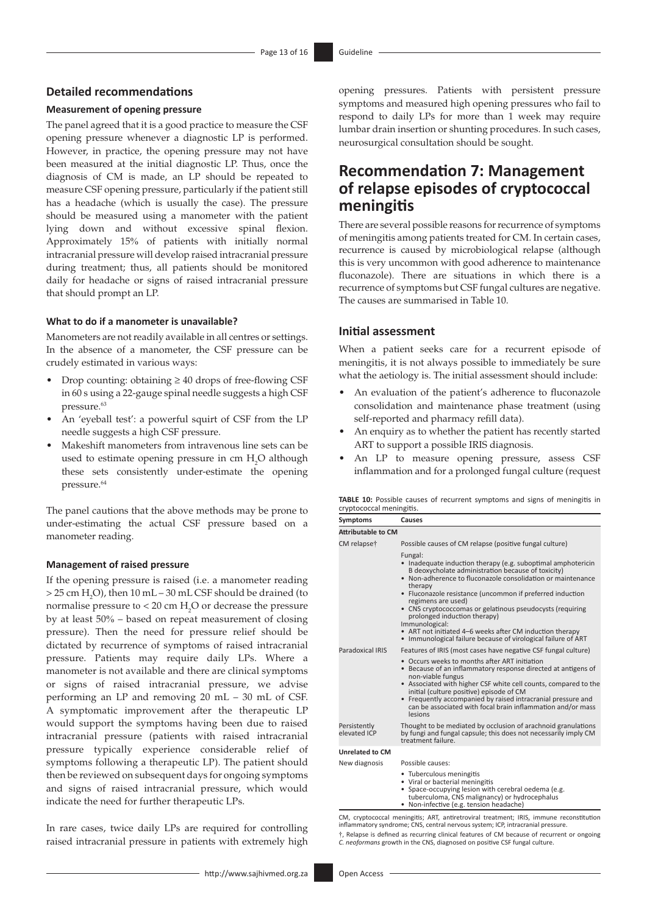# **Detailed recommendations**

#### **Measurement of opening pressure**

The panel agreed that it is a good practice to measure the CSF opening pressure whenever a diagnostic LP is performed. However, in practice, the opening pressure may not have been measured at the initial diagnostic LP. Thus, once the diagnosis of CM is made, an LP should be repeated to measure CSF opening pressure, particularly if the patient still has a headache (which is usually the case). The pressure should be measured using a manometer with the patient lying down and without excessive spinal flexion. Approximately 15% of patients with initially normal intracranial pressure will develop raised intracranial pressure during treatment; thus, all patients should be monitored daily for headache or signs of raised intracranial pressure that should prompt an LP.

#### **What to do if a manometer is unavailable?**

Manometers are not readily available in all centres or settings. In the absence of a manometer, the CSF pressure can be crudely estimated in various ways:

- Drop counting: obtaining ≥ 40 drops of free-flowing CSF in 60 s using a 22-gauge spinal needle suggests a high CSF pressure.[63](#page-15-36)
- <span id="page-12-0"></span>• An 'eyeball test': a powerful squirt of CSF from the LP needle suggests a high CSF pressure.
- Makeshift manometers from intravenous line sets can be used to estimate opening pressure in cm  $H_2O$  although these sets consistently under-estimate the opening pressure.[64](#page-15-37)

<span id="page-12-1"></span>The panel cautions that the above methods may be prone to under-estimating the actual CSF pressure based on a manometer reading.

# **Management of raised pressure**

If the opening pressure is raised (i.e. a manometer reading  $>$  25 cm H<sub>2</sub>O), then 10 mL – 30 mL CSF should be drained (to normalise pressure to  $<$  20 cm  $H_2O$  or decrease the pressure by at least 50% – based on repeat measurement of closing pressure). Then the need for pressure relief should be dictated by recurrence of symptoms of raised intracranial pressure. Patients may require daily LPs. Where a manometer is not available and there are clinical symptoms or signs of raised intracranial pressure, we advise performing an LP and removing 20 mL – 30 mL of CSF. A symptomatic improvement after the therapeutic LP would support the symptoms having been due to raised intracranial pressure (patients with raised intracranial pressure typically experience considerable relief of symptoms following a therapeutic LP). The patient should then be reviewed on subsequent days for ongoing symptoms and signs of raised intracranial pressure, which would indicate the need for further therapeutic LPs.

In rare cases, twice daily LPs are required for controlling raised intracranial pressure in patients with extremely high

opening pressures. Patients with persistent pressure symptoms and measured high opening pressures who fail to respond to daily LPs for more than 1 week may require lumbar drain insertion or shunting procedures. In such cases, neurosurgical consultation should be sought.

# **Recommendation 7: Management of relapse episodes of cryptococcal meningitis**

There are several possible reasons for recurrence of symptoms of meningitis among patients treated for CM. In certain cases, recurrence is caused by microbiological relapse (although this is very uncommon with good adherence to maintenance fluconazole). There are situations in which there is a recurrence of symptoms but CSF fungal cultures are negative. The causes are summarised in Table 10.

# **Initial assessment**

When a patient seeks care for a recurrent episode of meningitis, it is not always possible to immediately be sure what the aetiology is. The initial assessment should include:

- An evaluation of the patient's adherence to fluconazole consolidation and maintenance phase treatment (using self-reported and pharmacy refill data).
- An enquiry as to whether the patient has recently started ART to support a possible IRIS diagnosis.
- An LP to measure opening pressure, assess CSF inflammation and for a prolonged fungal culture (request

**TABLE 10:** Possible causes of recurrent symptoms and signs of meningitis in cryptococcal meningitis.

| Symptoms                     | Causes                                                                                                                                                                                                                                                                                                                                                                                                                                                                                                                               |
|------------------------------|--------------------------------------------------------------------------------------------------------------------------------------------------------------------------------------------------------------------------------------------------------------------------------------------------------------------------------------------------------------------------------------------------------------------------------------------------------------------------------------------------------------------------------------|
| <b>Attributable to CM</b>    |                                                                                                                                                                                                                                                                                                                                                                                                                                                                                                                                      |
| CM relapset                  | Possible causes of CM relapse (positive fungal culture)                                                                                                                                                                                                                                                                                                                                                                                                                                                                              |
|                              | Fungal:<br>• Inadequate induction therapy (e.g. suboptimal amphotericin<br>B deoxycholate administration because of toxicity)<br>• Non-adherence to fluconazole consolidation or maintenance<br>therapy<br>• Fluconazole resistance (uncommon if preferred induction<br>regimens are used)<br>• CNS cryptococcomas or gelatinous pseudocysts (requiring<br>prolonged induction therapy)<br>Immunological:<br>• ART not initiated 4–6 weeks after CM induction therapy<br>Immunological failure because of virological failure of ART |
| Paradoxical IRIS             | Features of IRIS (most cases have negative CSF fungal culture)                                                                                                                                                                                                                                                                                                                                                                                                                                                                       |
|                              | Occurs weeks to months after ART initiation<br>• Because of an inflammatory response directed at antigens of<br>non-viable fungus<br>• Associated with higher CSF white cell counts, compared to the<br>initial (culture positive) episode of CM<br>Frequently accompanied by raised intracranial pressure and<br>٠<br>can be associated with focal brain inflammation and/or mass<br>lesions                                                                                                                                        |
| Persistently<br>elevated ICP | Thought to be mediated by occlusion of arachnoid granulations<br>by fungi and fungal capsule; this does not necessarily imply CM<br>treatment failure.                                                                                                                                                                                                                                                                                                                                                                               |
| <b>Unrelated to CM</b>       |                                                                                                                                                                                                                                                                                                                                                                                                                                                                                                                                      |
| New diagnosis                | Possible causes:                                                                                                                                                                                                                                                                                                                                                                                                                                                                                                                     |
|                              | • Tuberculous meningitis<br>• Viral or bacterial meningitis<br>• Space-occupying lesion with cerebral oedema (e.g.<br>tuberculoma, CNS malignancy) or hydrocephalus<br>• Non-infective (e.g. tension headache)                                                                                                                                                                                                                                                                                                                       |

CM, cryptococcal meningitis; ART, antiretroviral treatment; IRIS, immune reconstitution inflammatory syndrome; CNS, central nervous system; ICP, intracranial pressure.

†, Relapse is defined as recurring clinical features of CM because of recurrent or ongoing *C. neoformans* growth in the CNS, diagnosed on positive CSF fungal culture.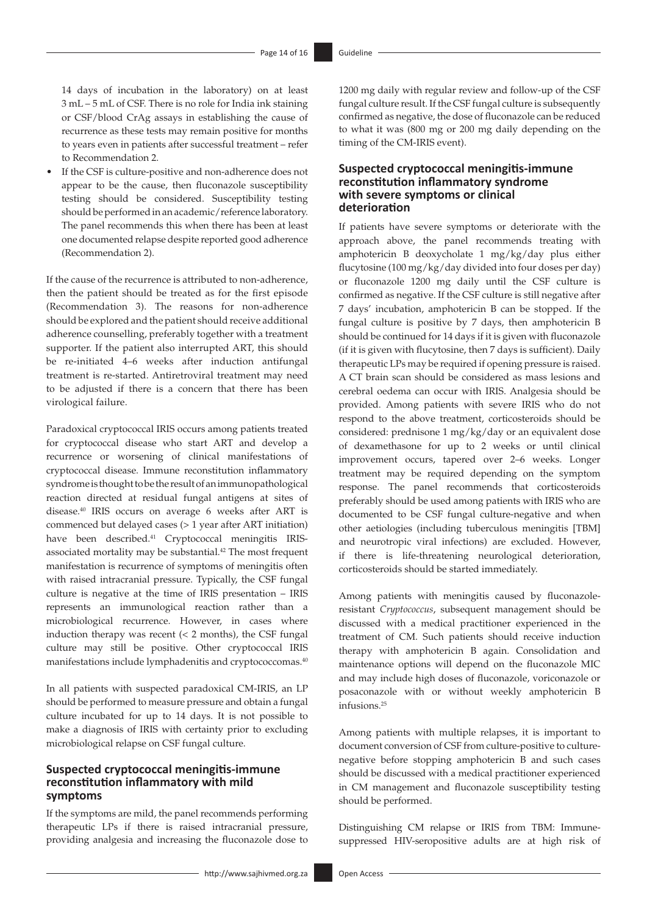14 days of incubation in the laboratory) on at least 3 mL – 5 mL of CSF. There is no role for India ink staining or CSF/blood CrAg assays in establishing the cause of recurrence as these tests may remain positive for months to years even in patients after successful treatment – refer to Recommendation 2.

If the CSF is culture-positive and non-adherence does not appear to be the cause, then fluconazole susceptibility testing should be considered. Susceptibility testing should be performed in an academic/reference laboratory. The panel recommends this when there has been at least one documented relapse despite reported good adherence (Recommendation 2).

If the cause of the recurrence is attributed to non-adherence, then the patient should be treated as for the first episode (Recommendation 3). The reasons for non-adherence should be explored and the patient should receive additional adherence counselling, preferably together with a treatment supporter. If the patient also interrupted ART, this should be re-initiated 4–6 weeks after induction antifungal treatment is re-started. Antiretroviral treatment may need to be adjusted if there is a concern that there has been virological failure.

Paradoxical cryptococcal IRIS occurs among patients treated for cryptococcal disease who start ART and develop a recurrence or worsening of clinical manifestations of cryptococcal disease. Immune reconstitution inflammatory syndrome is thought to be the result of an immunopathological reaction directed at residual fungal antigens at sites of disease.[40](#page-15-13) IRIS occurs on average 6 weeks after ART is commenced but delayed cases (> 1 year after ART initiation) have been described.<sup>41</sup> Cryptococcal meningitis IRISassociated mortality may be substantial.<sup>42</sup> The most frequent manifestation is recurrence of symptoms of meningitis often with raised intracranial pressure. Typically, the CSF fungal culture is negative at the time of IRIS presentation – IRIS represents an immunological reaction rather than a microbiological recurrence. However, in cases where induction therapy was recent (< 2 months), the CSF fungal culture may still be positive. Other cryptococcal IRIS manifestations include lymphadenitis and cryptococcomas[.40](#page-15-13)

In all patients with suspected paradoxical CM-IRIS, an LP should be performed to measure pressure and obtain a fungal culture incubated for up to 14 days. It is not possible to make a diagnosis of IRIS with certainty prior to excluding microbiological relapse on CSF fungal culture.

# **Suspected cryptococcal meningitis-immune reconstitution inflammatory with mild symptoms**

If the symptoms are mild, the panel recommends performing therapeutic LPs if there is raised intracranial pressure, providing analgesia and increasing the fluconazole dose to

1200 mg daily with regular review and follow-up of the CSF fungal culture result. If the CSF fungal culture is subsequently confirmed as negative, the dose of fluconazole can be reduced to what it was (800 mg or 200 mg daily depending on the timing of the CM-IRIS event).

# **Suspected cryptococcal meningitis-immune reconstitution inflammatory syndrome with severe symptoms or clinical deterioration**

If patients have severe symptoms or deteriorate with the approach above, the panel recommends treating with amphotericin B deoxycholate 1 mg/kg/day plus either flucytosine (100 mg/kg/day divided into four doses per day) or fluconazole 1200 mg daily until the CSF culture is confirmed as negative. If the CSF culture is still negative after 7 days' incubation, amphotericin B can be stopped. If the fungal culture is positive by 7 days, then amphotericin B should be continued for 14 days if it is given with fluconazole (if it is given with flucytosine, then 7 days is sufficient). Daily therapeutic LPs may be required if opening pressure is raised. A CT brain scan should be considered as mass lesions and cerebral oedema can occur with IRIS. Analgesia should be provided. Among patients with severe IRIS who do not respond to the above treatment, corticosteroids should be considered: prednisone 1 mg/kg/day or an equivalent dose of dexamethasone for up to 2 weeks or until clinical improvement occurs, tapered over 2–6 weeks. Longer treatment may be required depending on the symptom response. The panel recommends that corticosteroids preferably should be used among patients with IRIS who are documented to be CSF fungal culture-negative and when other aetiologies (including tuberculous meningitis [TBM] and neurotropic viral infections) are excluded. However, if there is life-threatening neurological deterioration, corticosteroids should be started immediately.

Among patients with meningitis caused by fluconazoleresistant *Cryptococcus*, subsequent management should be discussed with a medical practitioner experienced in the treatment of CM. Such patients should receive induction therapy with amphotericin B again. Consolidation and maintenance options will depend on the fluconazole MIC and may include high doses of fluconazole, voriconazole or posaconazole with or without weekly amphotericin B infusions.[25](#page-14-24)

Among patients with multiple relapses, it is important to document conversion of CSF from culture-positive to culturenegative before stopping amphotericin B and such cases should be discussed with a medical practitioner experienced in CM management and fluconazole susceptibility testing should be performed.

Distinguishing CM relapse or IRIS from TBM: Immunesuppressed HIV-seropositive adults are at high risk of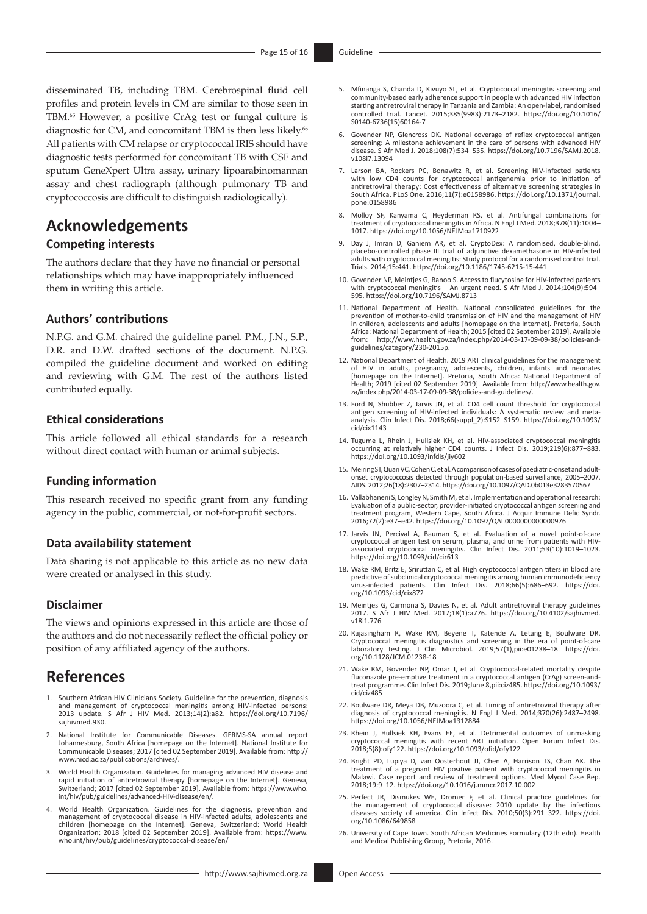<span id="page-14-27"></span><span id="page-14-26"></span>disseminated TB, including TBM. Cerebrospinal fluid cell profiles and protein levels in CM are similar to those seen in TBM[.65](#page-15-38) However, a positive CrAg test or fungal culture is diagnostic for CM, and concomitant TBM is then less likely.<sup>66</sup> All patients with CM relapse or cryptococcal IRIS should have diagnostic tests performed for concomitant TB with CSF and sputum GeneXpert Ultra assay, urinary lipoarabinomannan assay and chest radiograph (although pulmonary TB and cryptococcosis are difficult to distinguish radiologically).

# **Acknowledgements**

# **Competing interests**

The authors declare that they have no financial or personal relationships which may have inappropriately influenced them in writing this article.

#### **Authors' contributions**

N.P.G. and G.M. chaired the guideline panel. P.M., J.N., S.P., D.R. and D.W. drafted sections of the document. N.P.G. compiled the guideline document and worked on editing and reviewing with G.M. The rest of the authors listed contributed equally.

### **Ethical considerations**

This article followed all ethical standards for a research without direct contact with human or animal subjects.

#### **Funding information**

This research received no specific grant from any funding agency in the public, commercial, or not-for-profit sectors.

# **Data availability statement**

Data sharing is not applicable to this article as no new data were created or analysed in this study.

### **Disclaimer**

The views and opinions expressed in this article are those of the authors and do not necessarily reflect the official policy or position of any affiliated agency of the authors.

# **References**

- <span id="page-14-0"></span>Southern African HIV Clinicians Society. Guideline for the prevention, diagnosis and management of cryptococcal meningitis among HIV-infected persons: 2013 update. S Afr J HIV Med. 2013;14(2):a82. [https://doi.org/10.7196/](https://doi.org/10.7196/sajhivmed.930) [sajhivmed.930](https://doi.org/10.7196/sajhivmed.930).
- <span id="page-14-1"></span>[2.](#page-0-1) National Institute for Communicable Diseases. GERMS-SA annual report Johannesburg, South Africa [homepage on the Internet]. National Institute for Communicable Diseases; 2017 [cited 02 September 2019]. Available from: [http://](http://www.nicd.ac.za/publications/archives/) [www.nicd.ac.za/publications/archives/.](http://www.nicd.ac.za/publications/archives/)
- <span id="page-14-2"></span>[3.](#page-0-2) World Health Organization. Guidelines for managing advanced HIV disease and rapid initiation of antiretroviral therapy [homepage on the Internet]. Geneva, Switzerland; 2017 [cited 02 September 2019]. Available from: [https://www.who.](https://www.who.int/hiv/pub/guidelines/advanced-HIV-disease/en/) [int/hiv/pub/guidelines/advanced-HIV-disease/en/](https://www.who.int/hiv/pub/guidelines/advanced-HIV-disease/en/).
- <span id="page-14-3"></span>[4.](#page-0-3) World Health Organization. Guidelines for the diagnosis, prevention and management of cryptococcal disease in HIV-infected adults, adolescents and children [homepage on the Internet]. Geneva, Switzerland: World Health Organization; 2018 [cited 02 September 2019]. Available from: [https://www.](https://www.who.int/hiv/pub/guidelines/cryptococcal-disease/en/) [who.int/hiv/pub/guidelines/cryptococcal-disease/en/](https://www.who.int/hiv/pub/guidelines/cryptococcal-disease/en/)
- <span id="page-14-5"></span><span id="page-14-4"></span>[6.](#page-0-5) Govender NP, Glencross DK. National coverage of reflex cryptococcal antigen screening: A milestone achievement in the care of persons with advanced HIV disease. S Afr Med J. 2018;108(7):534–535. [https://doi.org/10.7196/SAMJ.2018.](https://doi.org/10.7196/SAMJ.2018.v108i7.13094) [v108i7.13094](https://doi.org/10.7196/SAMJ.2018.v108i7.13094)
- <span id="page-14-6"></span>[7.](#page-0-6) Larson BA, Rockers PC, Bonawitz R, et al. Screening HIV-infected patients with low CD4 counts for cryptococcal antigenemia prior to initiation of<br>antiretroviral therapy: Cost effectiveness of alternative screening strategies in<br>South Africa. PLoS One. 2016;11(7):e0158986. https://doi.org/10.1371 [pone.0158986](https://doi.org/10.1371/journal.pone.0158986)
- <span id="page-14-7"></span>[8.](#page-1-0) Molloy SF, Kanyama C, Heyderman RS, et al. Antifungal combinations for treatment of cryptococcal meningitis in Africa. N Engl J Med. 2018;378(11):1004– 1017. <https://doi.org/10.1056/NEJMoa1710922>
- <span id="page-14-8"></span>[9.](#page-1-1) Day J, Imran D, Ganiem AR, et al. CryptoDex: A randomised, double-blind, placebo-controlled phase III trial of adjunctive dexamethasone in HIV-infected adults with cryptococcal meningitis: Study protocol for a randomised control trial. Trials. 2014;15:441.<https://doi.org/10.1186/1745-6215-15-441>
- <span id="page-14-9"></span>[10.](#page-1-2) Govender NP, Meintjes G, Banoo S. Access to flucytosine for HIV-infected patients with cryptococcal meningitis – An urgent need. S Afr Med J. 2014;104(9):594– 595.<https://doi.org/10.7196/SAMJ.8713>
- <span id="page-14-10"></span>[11.](#page-1-3) National Department of Health. National consolidated guidelines for the prevention of mother-to-child transmission of HIV and the management of HIV in children, adolescents and adults [homepage on the Internet]. Pretoria, South Africa: National Department of Health; 2015 [cited 02 September 2019]. Available from: [http://www.health.gov.za/index.php/2014-03-17-09-09-38/policies-and-](http://www.health.gov.za/index.php/2014-03-17-09-09-38/policies-and-guidelines/category/230-2015p)[guidelines/category/230-2015p](http://www.health.gov.za/index.php/2014-03-17-09-09-38/policies-and-guidelines/category/230-2015p).
- <span id="page-14-11"></span>[12.](#page-1-3) National Department of Health. 2019 ART clinical guidelines for the management<br>of HIV in adults, pregnancy, adolescents, children, infants and neonates<br>[homepage on the Internet]. Pretoria, South Africa: National Depar Health; 2019 [cited 02 September 2019]. Available from: [http://www.health.gov.](http://www.health.gov.za/index.php/2014-03-17-09-09-38/policies-and-guidelines/) [za/index.php/2014-03-17-09-09-38/policies-and-guidelines/](http://www.health.gov.za/index.php/2014-03-17-09-09-38/policies-and-guidelines/).
- <span id="page-14-12"></span>[13.](#page-1-4) Ford N, Shubber Z, Jarvis JN, et al. CD4 cell count threshold for cryptococcal antigen screening of HIV-infected individuals: A systematic review and metaanalysis. Clin Infect Dis. 2018;66(suppl\_2):S152–S159. [https://doi.org/10.1093/](https://doi.org/10.1093/cid/cix1143) [cid/cix1143](https://doi.org/10.1093/cid/cix1143)
- <span id="page-14-13"></span>[14.](#page-2-0) Tugume L, Rhein J, Hullsiek KH, et al. HIV-associated cryptococcal meningitis occurring at relatively higher CD4 counts. J Infect Dis. 2019;219(6):877–883. <https://doi.org/10.1093/infdis/jiy602>
- <span id="page-14-14"></span>[15.](#page-2-1) Meiring ST, Quan VC, Cohen C, et al. A comparison of cases of paediatric-onset and adultonset cryptococcosis detected through population-based surveillance, 2005–2007. AIDS. 2012;26(18):2307–2314.<https://doi.org/10.1097/QAD.0b013e3283570567>
- <span id="page-14-15"></span>[16.](#page-2-2) Vallabhaneni S, Longley N, Smith M, et al. Implementation and operational research: Evaluation of a public-sector, provider-initiated cryptococcal antigen screening and treatment program, Western Cape, South Africa. J Acquir Immune Defic Syndr. 2016;72(2):e37–e42.<https://doi.org/10.1097/QAI.0000000000000976>
- <span id="page-14-16"></span>[17.](#page-2-3) Jarvis JN, Percival A, Bauman S, et al. Evaluation of a novel point-of-care cryptococcal antigen test on serum, plasma, and urine from patients with HIVassociated cryptococcal meningitis. Clin Infect Dis. 2011;53(10):1019–1023. <https://doi.org/10.1093/cid/cir613>
- <span id="page-14-17"></span>[18.](#page-2-4) Wake RM, Britz E, Sriruttan C, et al. High cryptococcal antigen titers in blood are predictive of subclinical cryptococcal meningitis among human immunodeficiency virus-infected patients. Clin Infect Dis. 2018;66(5):686–692. [https://doi.](https://doi.org/10.1093/cid/cix872) [org/10.1093/cid/cix872](https://doi.org/10.1093/cid/cix872)
- <span id="page-14-18"></span>[19.](#page-2-5) Meintjes G, Carmona S, Davies N, et al. Adult antiretroviral therapy guidelines 2017. S Afr J HIV Med. 2017;18(1):a776. [https://doi.org/10.4102/sajhivmed.](https://doi.org/10.4102/sajhivmed.v18i1.776) [v18i1.776](https://doi.org/10.4102/sajhivmed.v18i1.776)
- <span id="page-14-19"></span>[20.](#page-2-6) Rajasingham R, Wake RM, Beyene T, Katende A, Letang E, Boulware DR. Cryptococcal meningitis diagnostics and screening in the era of point-of-care laboratory testing. J Clin Microbiol. 2019;57(1),pii:e01238–18. [https://doi.](https://doi.org/10.1128/JCM.01238-18) [org/10.1128/JCM.01238-18](https://doi.org/10.1128/JCM.01238-18)
- <span id="page-14-20"></span>[21.](#page-2-7) Wake RM, Govender NP, Omar T, et al. Cryptococcal-related mortality despite fluconazole pre-emptive treatment in a cryptococcal antigen (CrAg) screen-andtreat programme. Clin Infect Dis. 2019;June 8,pii:ciz485. [https://doi.org/10.1093/](https://doi.org/10.1093/cid/ciz485) [cid/ciz485](https://doi.org/10.1093/cid/ciz485)
- <span id="page-14-21"></span>[22.](#page-2-8) Boulware DR, Meya DB, Muzoora C, et al. Timing of antiretroviral therapy after diagnosis of cryptococcal meningitis. N Engl J Med. 2014;370(26):2487–2498. <https://doi.org/10.1056/NEJMoa1312884>
- <span id="page-14-22"></span>[23.](#page-2-9) Rhein J, Hullsiek KH, Evans EE, et al. Detrimental outcomes of unmasking cryptococcal meningitis with recent ART initiation. Open Forum Infect Dis. 2018;5(8):ofy122.<https://doi.org/10.1093/ofid/ofy122>
- <span id="page-14-23"></span>[24.](#page-3-0) Bright PD, Lupiya D, van Oosterhout JJ, Chen A, Harrison TS, Chan AK. The treatment of a pregnant HIV positive patient with cryptococcal meningitis in Malawi. Case report and review of treatment options. Med Mycol Case Rep. 2018;19:9–12. <https://doi.org/10.1016/j.mmcr.2017.10.002>
- <span id="page-14-24"></span>[25.](#page-3-1) Perfect JR, Dismukes WE, Dromer F, et al. Clinical practice guidelines for the management of cryptococcal disease: 2010 update by the infectious diseases society of america. Clin Infect Dis. 2010;50(3):291–322. [https://doi.](https://doi.org/10.1086/649858) [org/10.1086/649858](https://doi.org/10.1086/649858)
- <span id="page-14-25"></span>[26.](#page-4-0) University of Cape Town. South African Medicines Formulary (12th edn). Health and Medical Publishing Group, Pretoria, 2016.